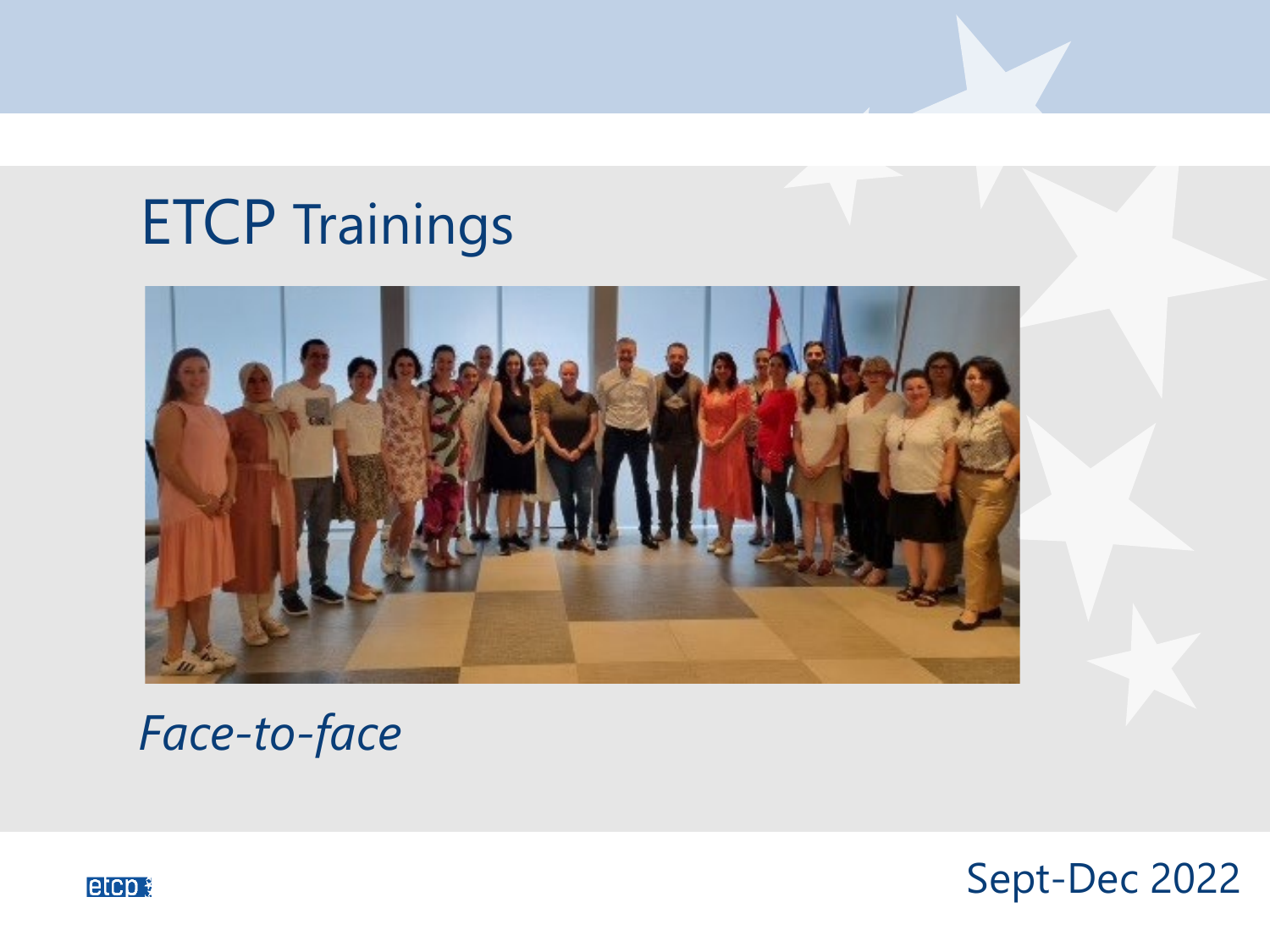# ETCP Trainings



*Face-to-face*



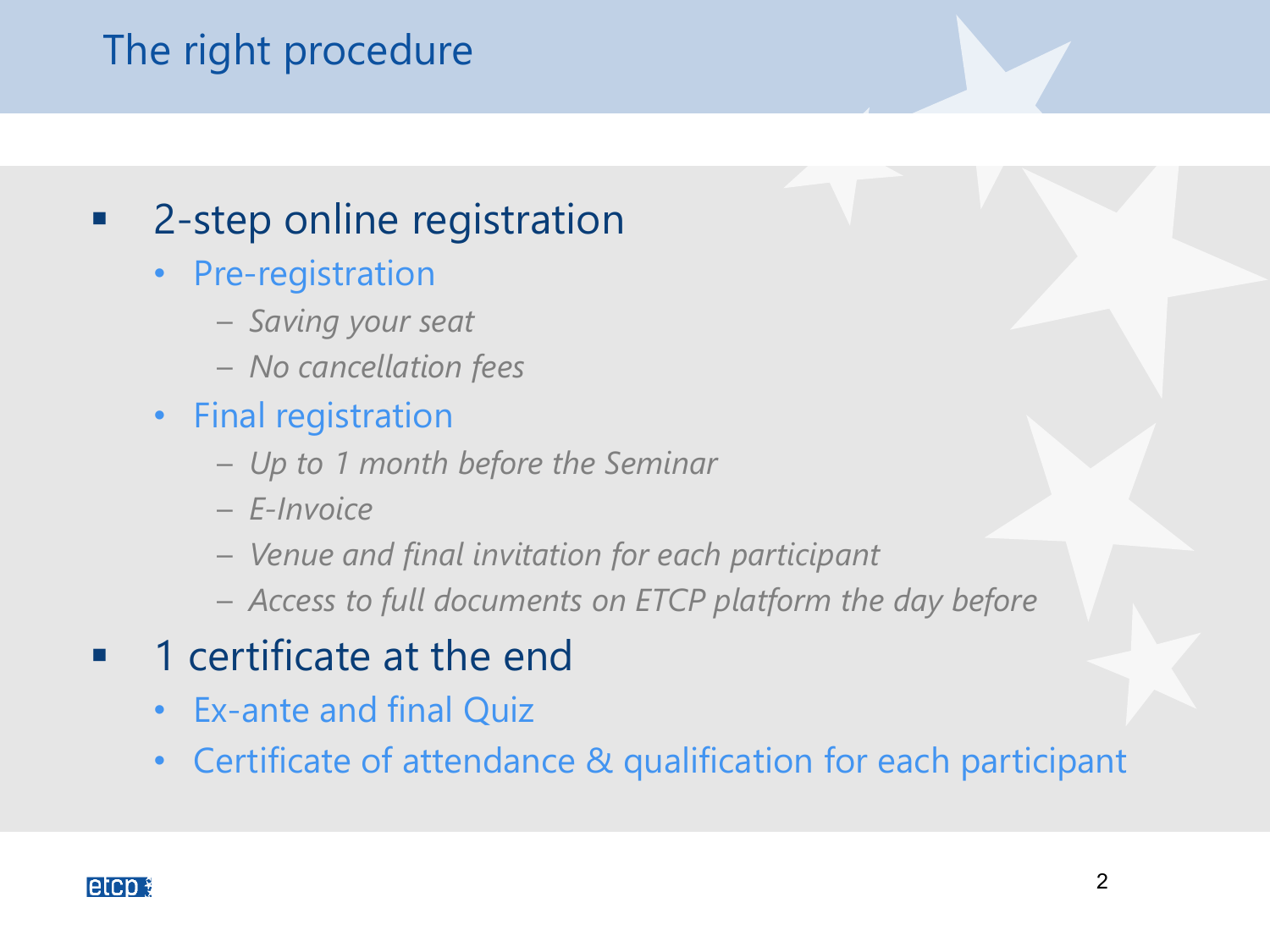## The right procedure

## **2**-step online registration

- Pre-registration
	- *Saving your seat*
	- *No cancellation fees*
- Final registration
	- *Up to 1 month before the Seminar*
	- *E-Invoice*
	- *Venue and final invitation for each participant*
	- *Access to full documents on ETCP platform the day before*
- **1** certificate at the end
	- Ex-ante and final Quiz
	- Certificate of attendance & qualification for each participant

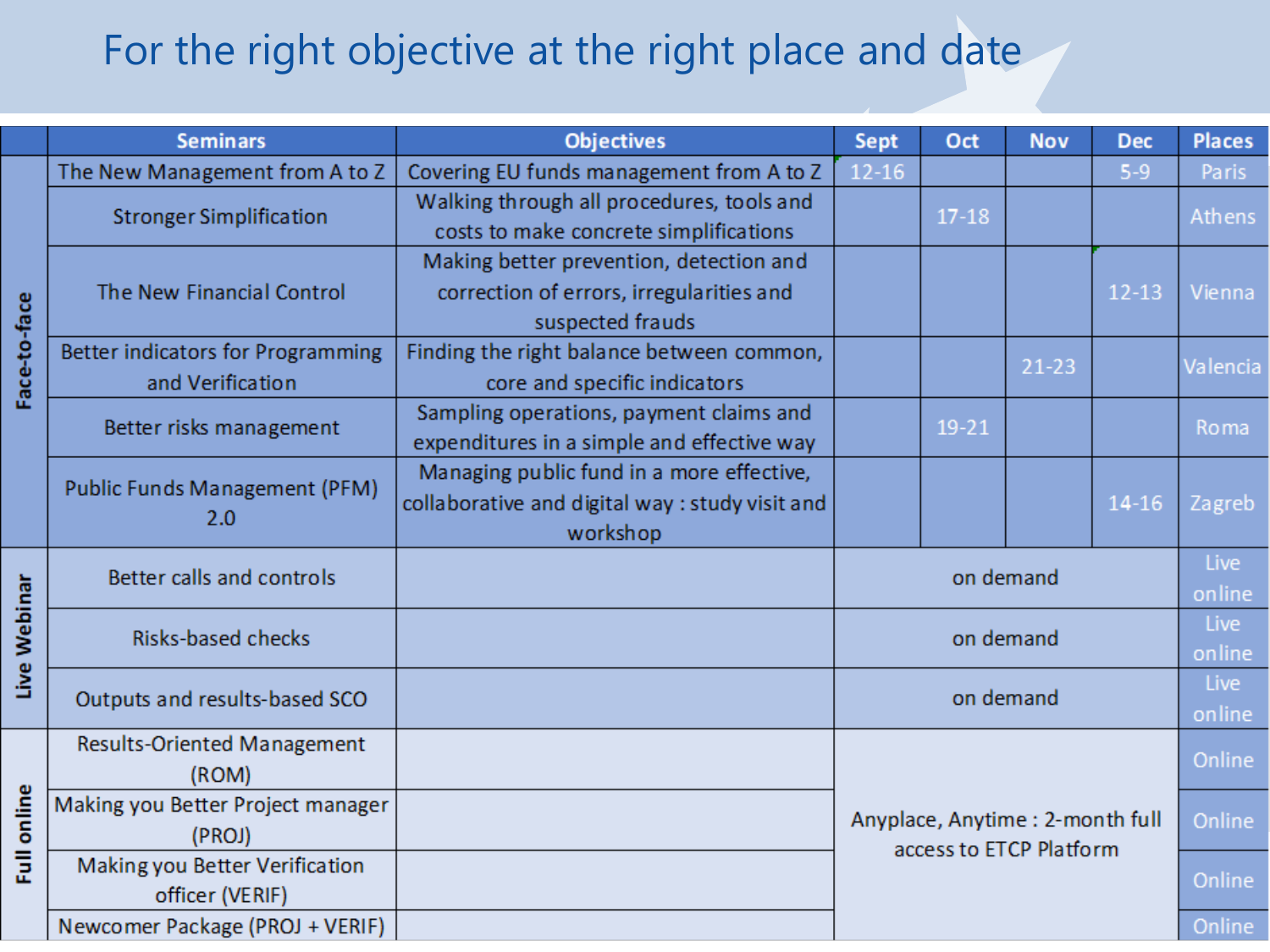## For the right objective at the right place and date

|              | <b>Seminars</b>                                       | <b>Objectives</b>                                                                                        | <b>Sept</b>                                                | Oct       | <b>Nov</b>     | <b>Dec</b> | <b>Places</b> |
|--------------|-------------------------------------------------------|----------------------------------------------------------------------------------------------------------|------------------------------------------------------------|-----------|----------------|------------|---------------|
|              | The New Management from A to Z                        | Covering EU funds management from A to Z                                                                 | $12 - 16$                                                  |           |                | $5-9$      | Paris         |
|              | <b>Stronger Simplification</b>                        | Walking through all procedures, tools and<br>costs to make concrete simplifications                      |                                                            | $17 - 18$ |                |            | Athens        |
|              | The New Financial Control                             | Making better prevention, detection and<br>correction of errors, irregularities and<br>suspected frauds  |                                                            |           |                | $12 - 13$  | Vienna        |
| Face-to-face | Better indicators for Programming<br>and Verification | Finding the right balance between common,<br>core and specific indicators                                |                                                            |           | $21 - 23$      |            | Valencia      |
|              | Better risks management                               | Sampling operations, payment claims and<br>expenditures in a simple and effective way                    |                                                            | $19 - 21$ |                |            | Roma          |
|              | Public Funds Management (PFM)<br>2.0                  | Managing public fund in a more effective,<br>collaborative and digital way : study visit and<br>workshop |                                                            |           |                | $14 - 16$  | Zagreb        |
|              | Better calls and controls                             |                                                                                                          | on demand                                                  |           | Live<br>online |            |               |
| Live Webinar | <b>Risks-based checks</b>                             |                                                                                                          | on demand                                                  |           | Live<br>online |            |               |
|              | Outputs and results-based SCO                         |                                                                                                          | on demand                                                  |           | Live<br>online |            |               |
|              | Results-Oriented Management<br>(ROM)                  |                                                                                                          |                                                            |           |                | Online     |               |
| Full online  | Making you Better Project manager<br>(PROJ)           |                                                                                                          | Anyplace, Anytime: 2-month full<br>access to ETCP Platform |           | Online         |            |               |
|              | Making you Better Verification<br>officer (VERIF)     |                                                                                                          |                                                            |           | Online         |            |               |
|              | Newcomer Package (PROJ + VERIF)                       |                                                                                                          |                                                            |           |                |            | Online        |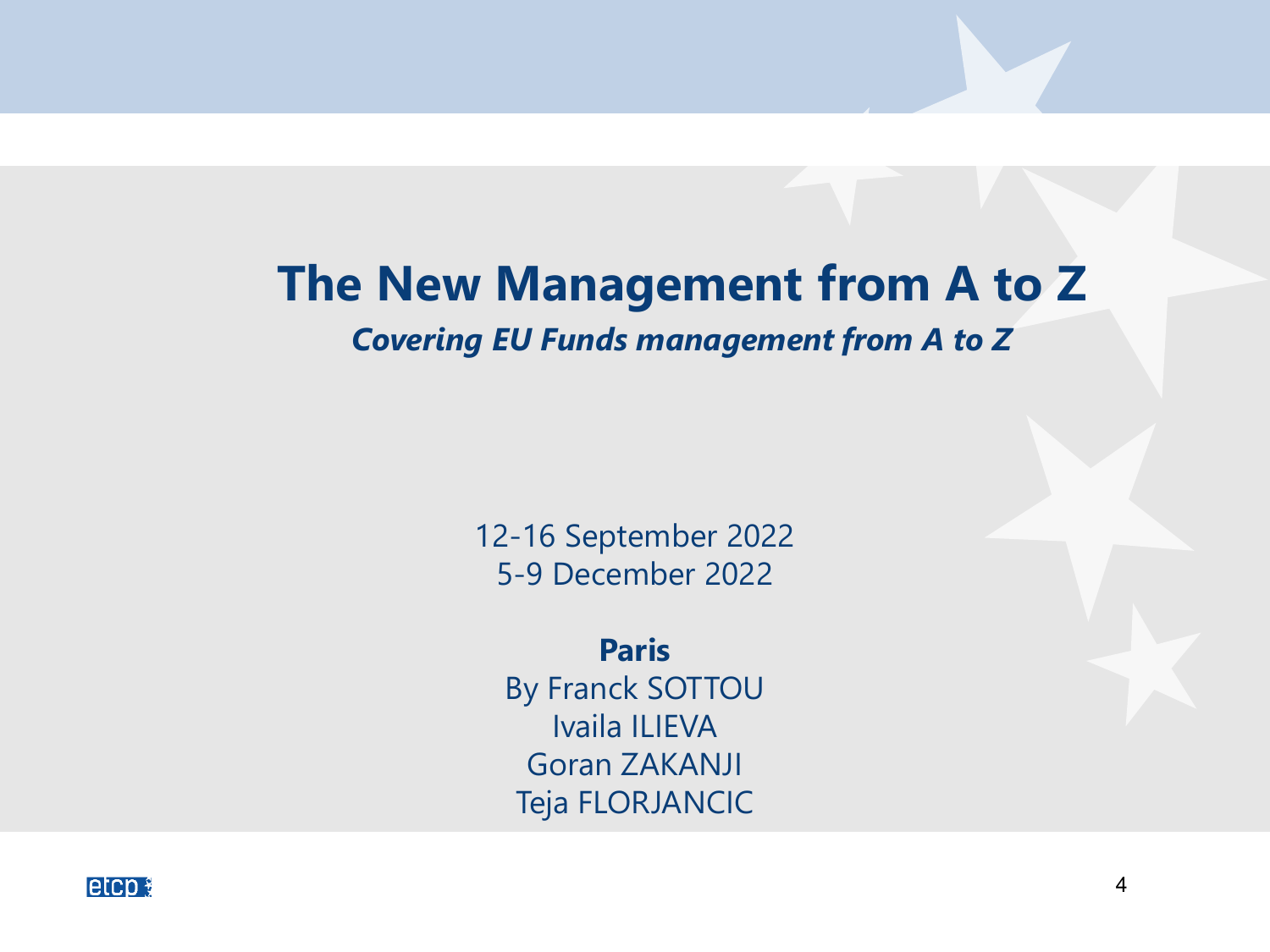## **The New Management from A to Z** *Covering EU Funds management from A to Z*

12-16 September 2022 5-9 December 2022

#### **Paris**

By Franck SOTTOU Ivaila ILIEVA Goran ZAKANJI Teja FLORJANCIC

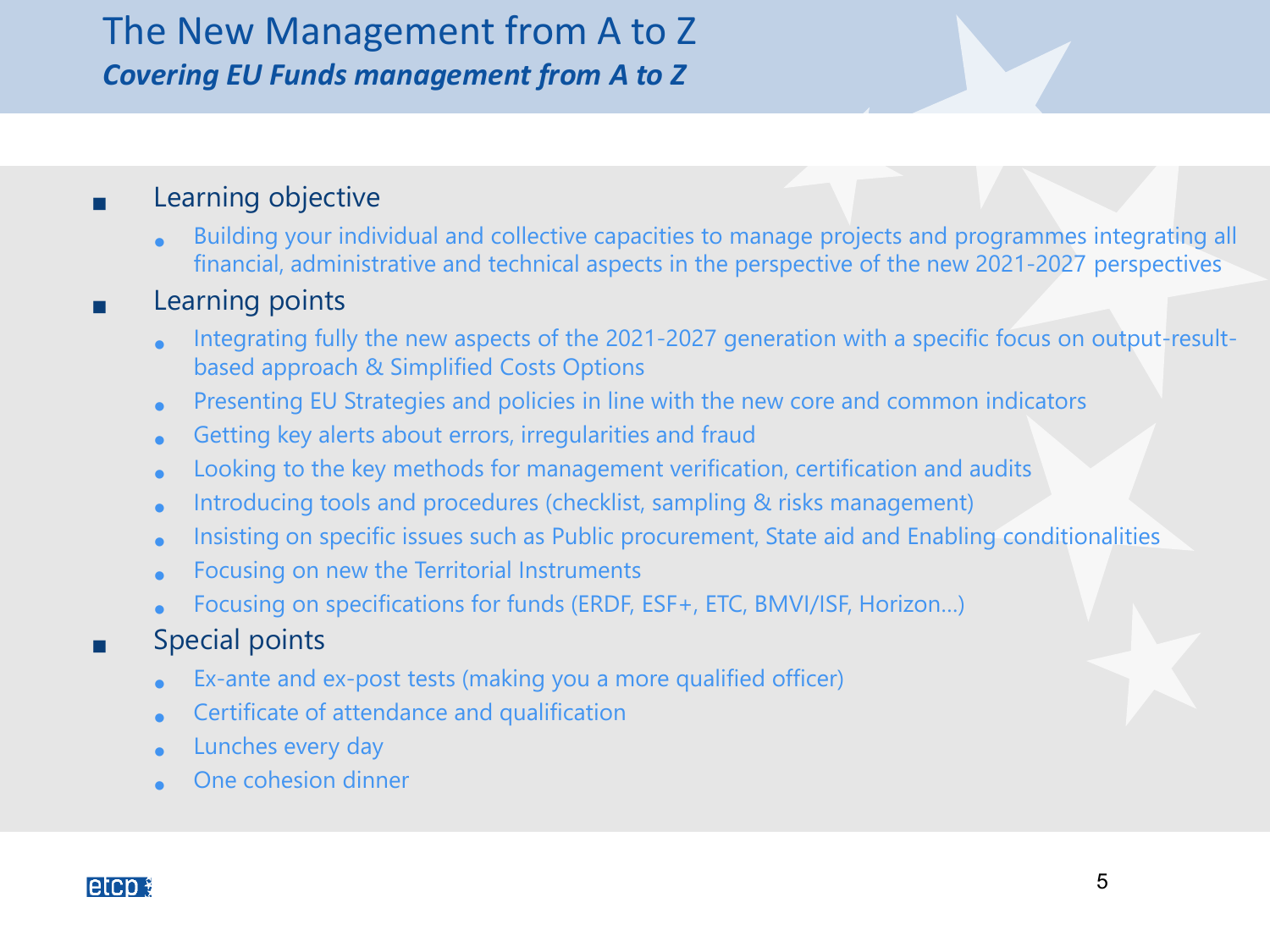### The New Management from A to Z *Covering EU Funds management from A to Z*

#### **Learning objective**

• Building your individual and collective capacities to manage projects and programmes integrating all financial, administrative and technical aspects in the perspective of the new 2021-2027 perspectives

#### Learning points

- Integrating fully the new aspects of the 2021-2027 generation with <sup>a</sup> specific focus on output-resultbased approach & Simplified Costs Options
- Presenting EU Strategies and policies in line with the new core and common indicators
- Getting key alerts about errors, irregularities and fraud
- Looking to the key methods for management verification, certification and audits
- Introducing tools and procedures (checklist, sampling & risks management)
- Insisting on specific issues such as Public procurement, State aid and Enabling conditionalities
- Focusing on new the Territorial Instruments
- Focusing on specifications for funds (ERDF, ESF+, ETC, BMVI/ISF, Horizon…)

#### **Special points**

- Ex-ante and ex-post tests (making you a more qualified officer)
- Certificate of attendance and qualification
- Lunches every day
- One cohesion dinner

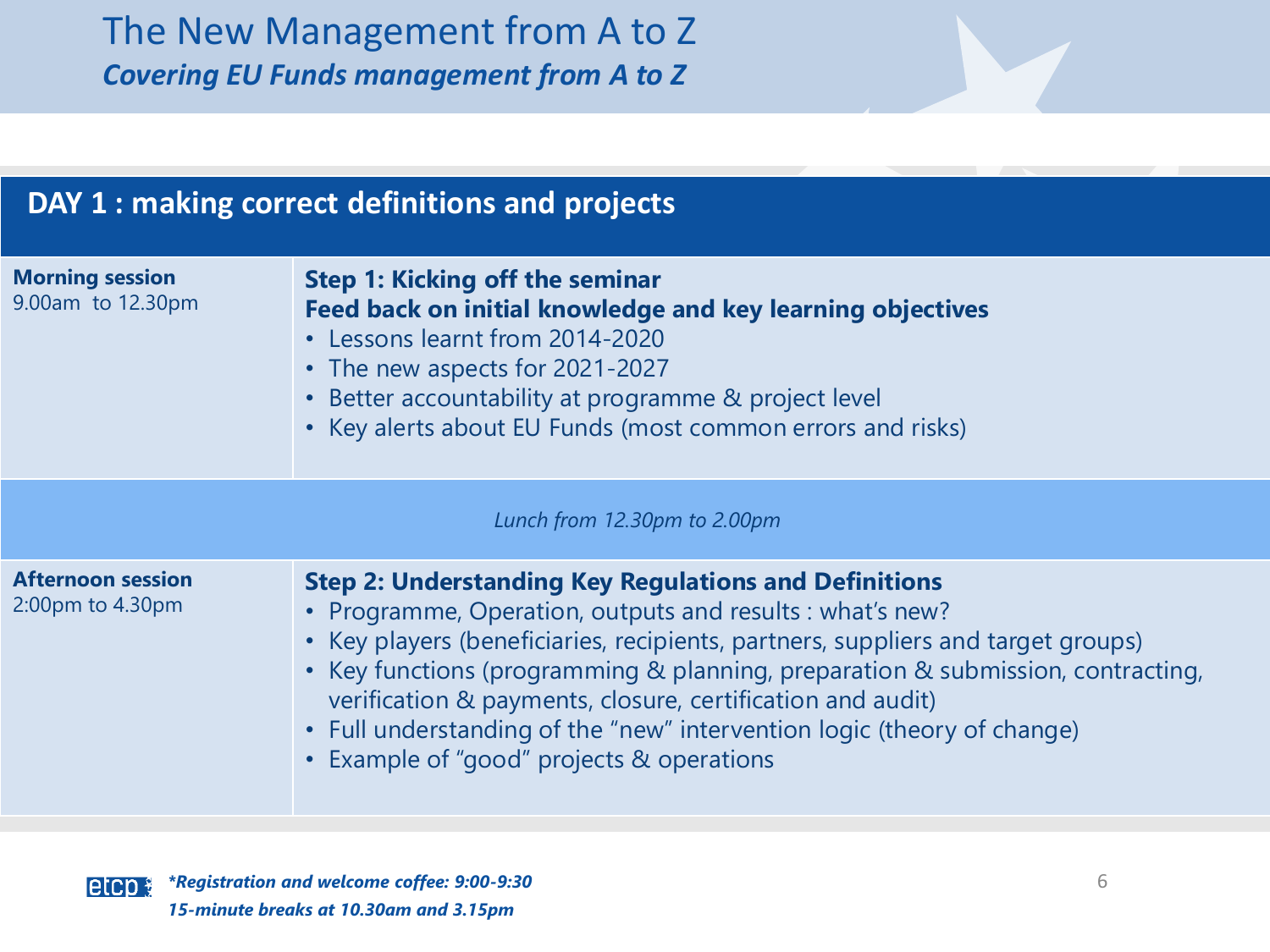| DAY 1 : making correct definitions and projects    |                                                                                                                                                                                                                                                                                                                                                                                                                                                                                        |  |
|----------------------------------------------------|----------------------------------------------------------------------------------------------------------------------------------------------------------------------------------------------------------------------------------------------------------------------------------------------------------------------------------------------------------------------------------------------------------------------------------------------------------------------------------------|--|
| <b>Morning session</b><br>9.00am to 12.30pm        | <b>Step 1: Kicking off the seminar</b><br>Feed back on initial knowledge and key learning objectives<br>• Lessons learnt from 2014-2020<br>• The new aspects for 2021-2027<br>• Better accountability at programme & project level<br>• Key alerts about EU Funds (most common errors and risks)                                                                                                                                                                                       |  |
|                                                    | Lunch from 12.30pm to 2.00pm                                                                                                                                                                                                                                                                                                                                                                                                                                                           |  |
| <b>Afternoon session</b><br>$2:00$ pm to $4.30$ pm | <b>Step 2: Understanding Key Regulations and Definitions</b><br>• Programme, Operation, outputs and results : what's new?<br>• Key players (beneficiaries, recipients, partners, suppliers and target groups)<br>• Key functions (programming & planning, preparation & submission, contracting,<br>verification & payments, closure, certification and audit)<br>• Full understanding of the "new" intervention logic (theory of change)<br>• Example of "good" projects & operations |  |

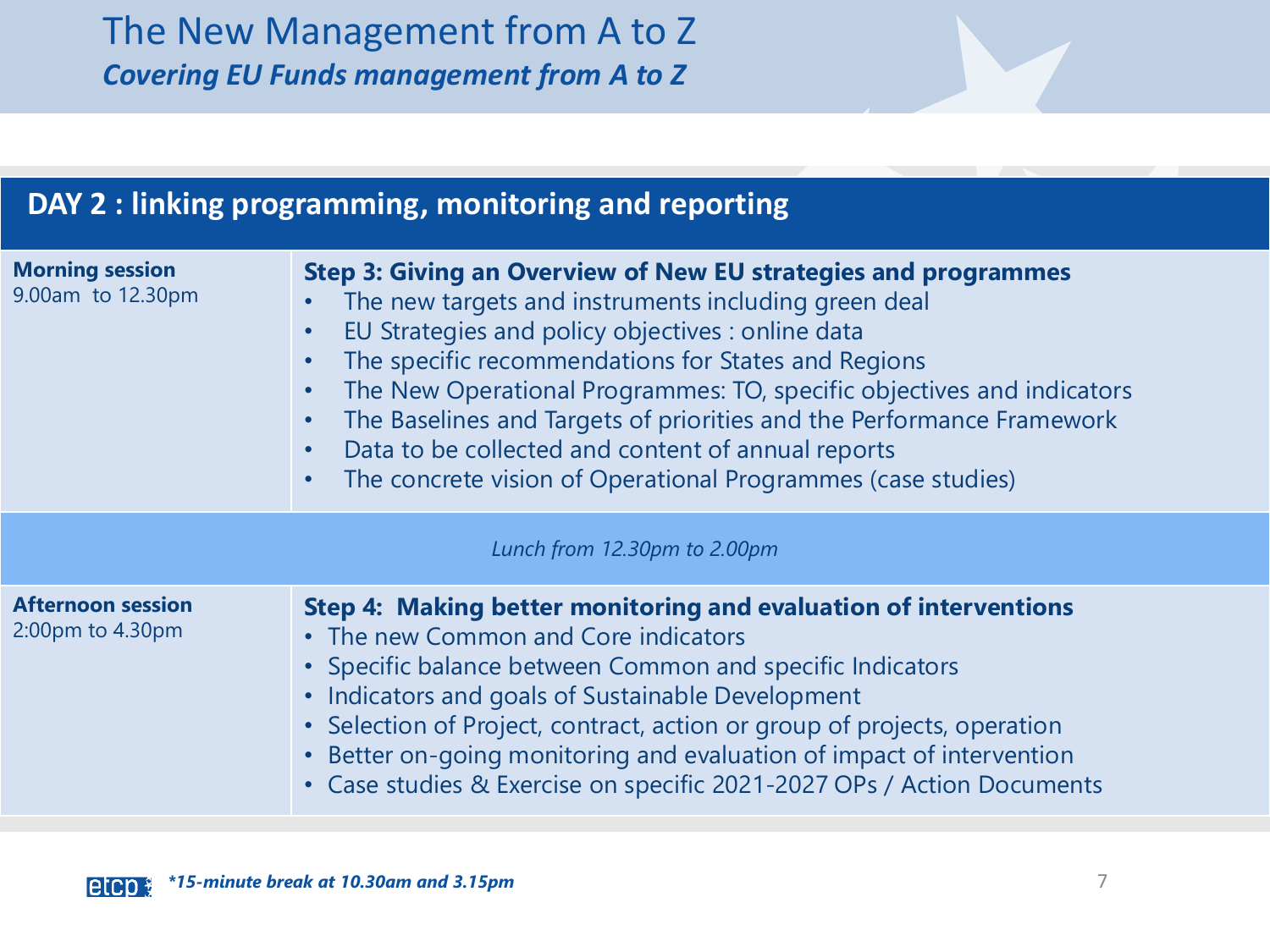| DAY 2 : linking programming, monitoring and reporting |                                                                                                                                                                                                                                                                                                                                                                                                                                                                                                                          |  |
|-------------------------------------------------------|--------------------------------------------------------------------------------------------------------------------------------------------------------------------------------------------------------------------------------------------------------------------------------------------------------------------------------------------------------------------------------------------------------------------------------------------------------------------------------------------------------------------------|--|
| <b>Morning session</b><br>9.00am to 12.30pm           | Step 3: Giving an Overview of New EU strategies and programmes<br>The new targets and instruments including green deal<br>EU Strategies and policy objectives : online data<br>$\bullet$<br>The specific recommendations for States and Regions<br>The New Operational Programmes: TO, specific objectives and indicators<br>The Baselines and Targets of priorities and the Performance Framework<br>Data to be collected and content of annual reports<br>The concrete vision of Operational Programmes (case studies) |  |
|                                                       | Lunch from 12.30pm to 2.00pm                                                                                                                                                                                                                                                                                                                                                                                                                                                                                             |  |
| <b>Afternoon session</b><br>$2:00$ pm to $4.30$ pm    | Step 4: Making better monitoring and evaluation of interventions<br>• The new Common and Core indicators<br>• Specific balance between Common and specific Indicators<br>• Indicators and goals of Sustainable Development<br>• Selection of Project, contract, action or group of projects, operation<br>Better on-going monitoring and evaluation of impact of intervention<br>$\bullet$<br>• Case studies & Exercise on specific 2021-2027 OPs / Action Documents                                                     |  |

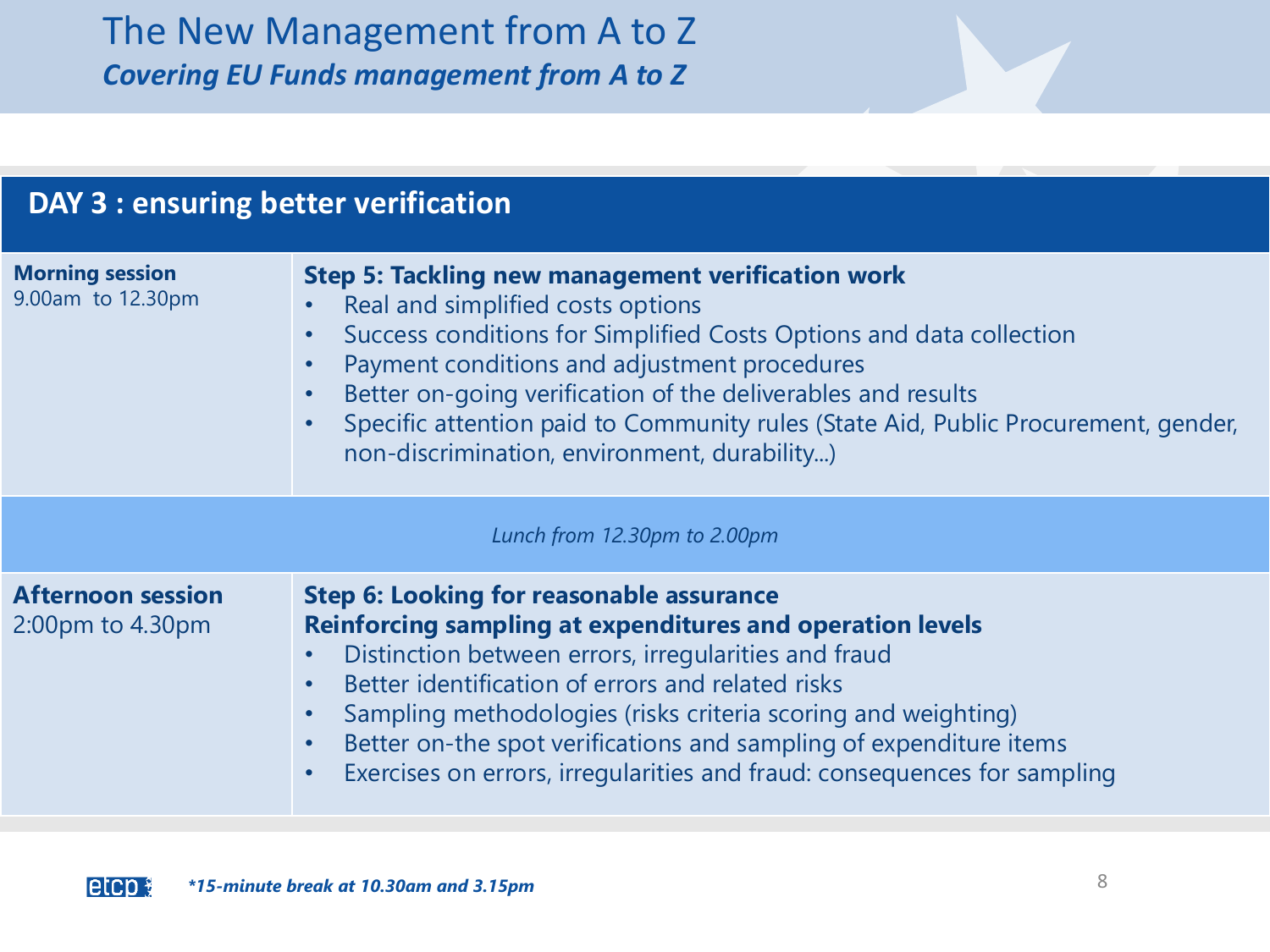| <b>DAY 3: ensuring better verification</b>         |                                                                                                                                                                                                                                                                                                                                                                                                                                                                                            |  |
|----------------------------------------------------|--------------------------------------------------------------------------------------------------------------------------------------------------------------------------------------------------------------------------------------------------------------------------------------------------------------------------------------------------------------------------------------------------------------------------------------------------------------------------------------------|--|
| <b>Morning session</b><br>9.00am to 12.30pm        | <b>Step 5: Tackling new management verification work</b><br>Real and simplified costs options<br>Success conditions for Simplified Costs Options and data collection<br>$\bullet$<br>Payment conditions and adjustment procedures<br>$\bullet$<br>Better on-going verification of the deliverables and results<br>Specific attention paid to Community rules (State Aid, Public Procurement, gender,<br>non-discrimination, environment, durability)                                       |  |
|                                                    | Lunch from 12.30pm to 2.00pm                                                                                                                                                                                                                                                                                                                                                                                                                                                               |  |
| <b>Afternoon session</b><br>$2:00$ pm to $4.30$ pm | <b>Step 6: Looking for reasonable assurance</b><br><b>Reinforcing sampling at expenditures and operation levels</b><br>Distinction between errors, irregularities and fraud<br>$\bullet$<br>Better identification of errors and related risks<br>$\bullet$<br>Sampling methodologies (risks criteria scoring and weighting)<br>Better on-the spot verifications and sampling of expenditure items<br>Exercises on errors, irregularities and fraud: consequences for sampling<br>$\bullet$ |  |

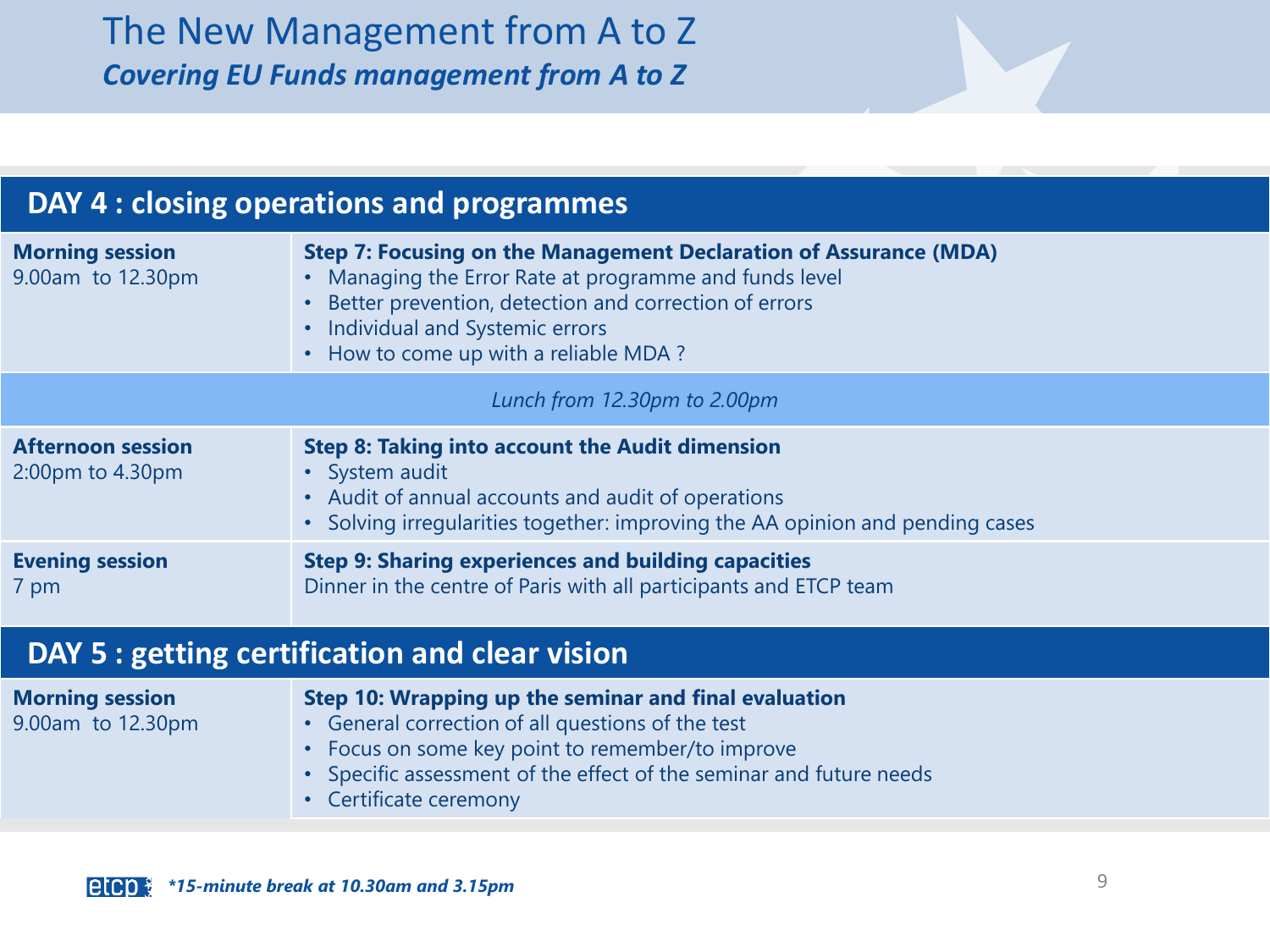| DAY 4 : closing operations and programmes          |                                                                                                                                                                                                                                                                          |  |
|----------------------------------------------------|--------------------------------------------------------------------------------------------------------------------------------------------------------------------------------------------------------------------------------------------------------------------------|--|
| <b>Morning session</b><br>9.00am to 12.30pm        | <b>Step 7: Focusing on the Management Declaration of Assurance (MDA)</b><br>• Managing the Error Rate at programme and funds level<br>Better prevention, detection and correction of errors<br>• Individual and Systemic errors<br>• How to come up with a reliable MDA? |  |
|                                                    | Lunch from 12.30pm to 2.00pm                                                                                                                                                                                                                                             |  |
| <b>Afternoon session</b><br>$2:00$ pm to $4.30$ pm | <b>Step 8: Taking into account the Audit dimension</b><br>• System audit<br>• Audit of annual accounts and audit of operations<br>• Solving irregularities together: improving the AA opinion and pending cases                                                          |  |
| <b>Evening session</b><br>7 pm                     | <b>Step 9: Sharing experiences and building capacities</b><br>Dinner in the centre of Paris with all participants and ETCP team                                                                                                                                          |  |
|                                                    | DAY 5 : getting certification and clear vision                                                                                                                                                                                                                           |  |
| <b>Morning session</b><br>9.00am to 12.30pm        | Step 10: Wrapping up the seminar and final evaluation<br>• General correction of all questions of the test<br>• Focus on some key point to remember/to improve<br>• Specific assessment of the effect of the seminar and future needs<br>• Certificate ceremony          |  |

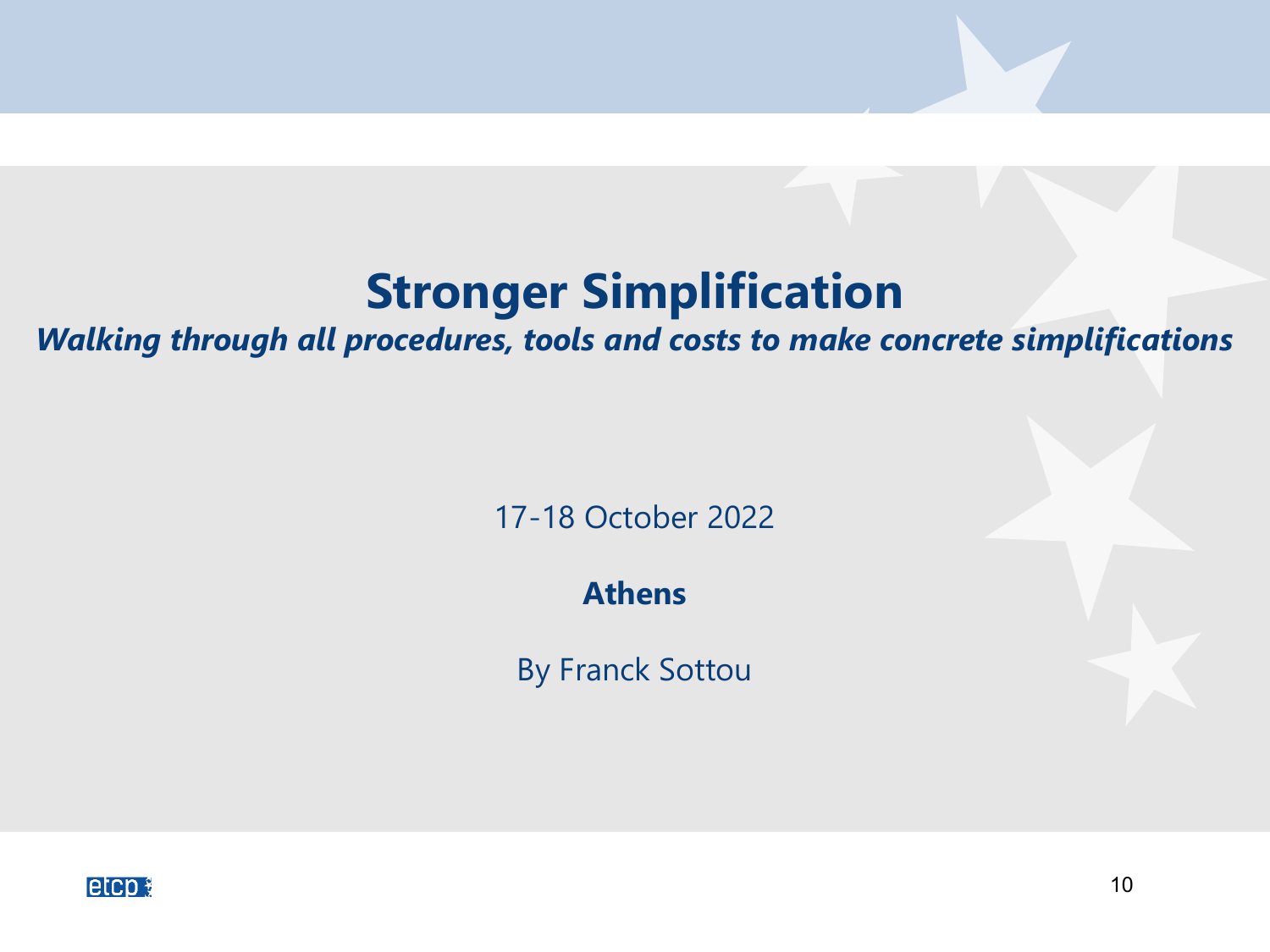*Walking through all procedures, tools and costs to make concrete simplifications*

17-18 October 2022

**Athens**

By Franck Sottou

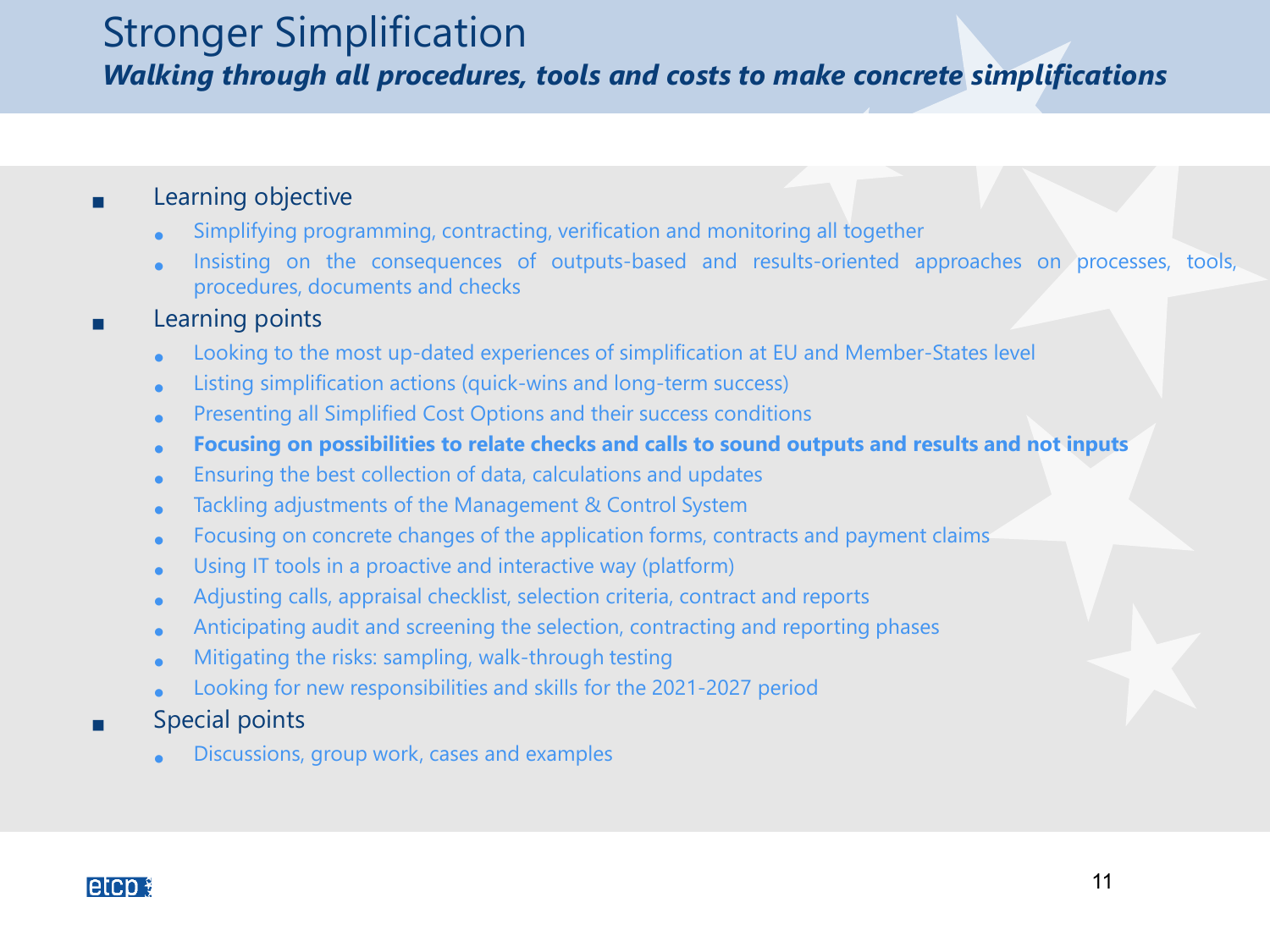*Walking through all procedures, tools and costs to make concrete simplifications*

#### **Learning objective**

- Simplifying programming, contracting, verification and monitoring all together
- Insisting on the consequences of outputs-based and results-oriented approaches on processes, tools, procedures, documents and checks

#### Learning points

- Looking to the most up-dated experiences of simplification at EU and Member-States level
- Listing simplification actions (quick-wins and long-term success)
- Presenting all Simplified Cost Options and their success conditions
- **Focusing on possibilities to relate checks and calls to sound outputs and results and not inputs**
- Ensuring the best collection of data, calculations and updates
- Tackling adjustments of the Management & Control System
- Focusing on concrete changes of the application forms, contracts and payment claims
- Using IT tools in <sup>a</sup> proactive and interactive way (platform)
- Adjusting calls, appraisal checklist, selection criteria, contract and reports
- Anticipating audit and screening the selection, contracting and reporting phases
- Mitigating the risks: sampling, walk-through testing
- Looking for new responsibilities and skills for the 2021-2027 period
- Special points
	- Discussions, group work, cases and examples

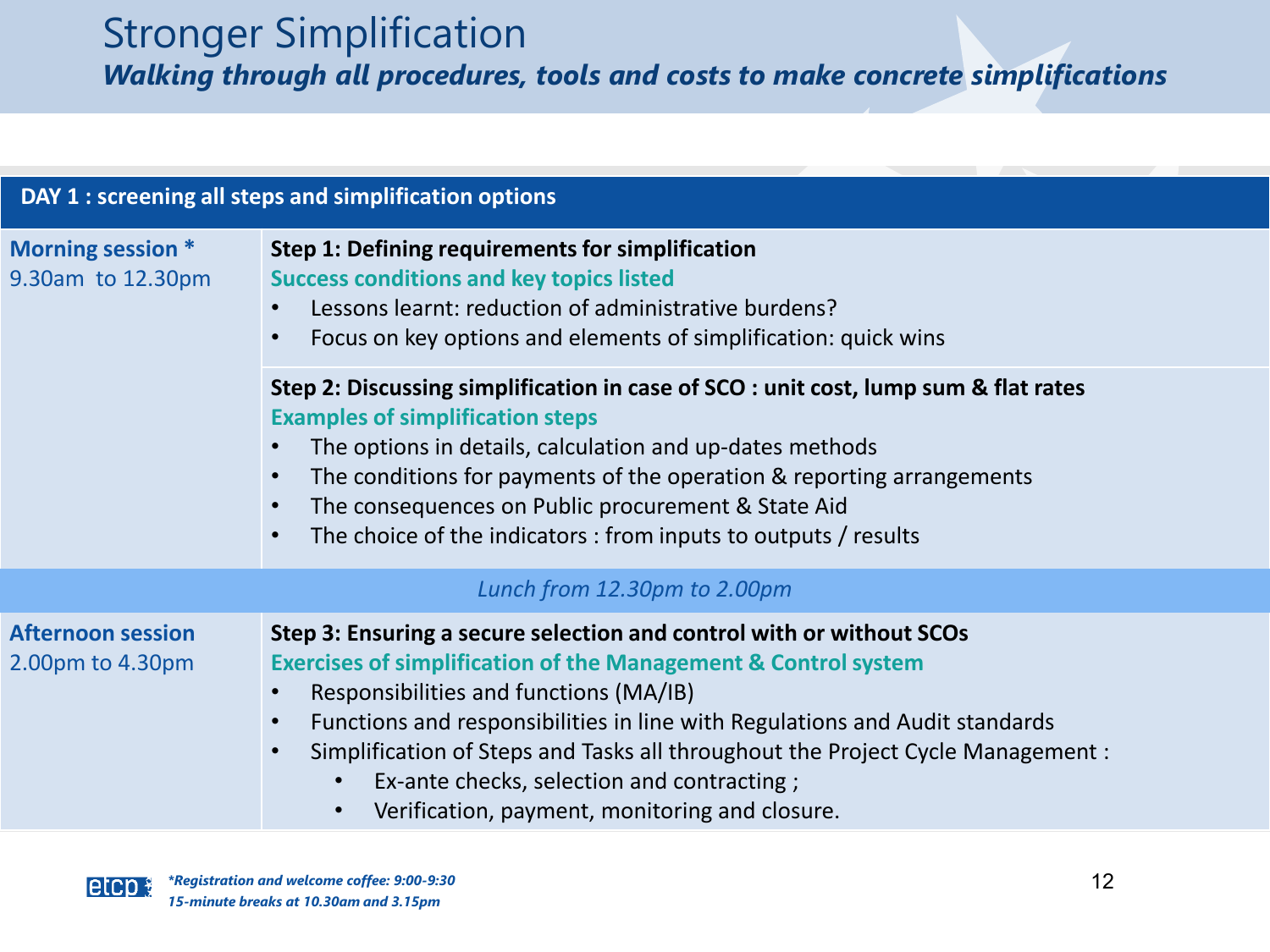*Walking through all procedures, tools and costs to make concrete simplifications*

| DAY 1 : screening all steps and simplification options |                                                                                                                                                                                                                                                                                                                                                                                                                                                                            |  |
|--------------------------------------------------------|----------------------------------------------------------------------------------------------------------------------------------------------------------------------------------------------------------------------------------------------------------------------------------------------------------------------------------------------------------------------------------------------------------------------------------------------------------------------------|--|
| Morning session *<br>9.30am to 12.30pm                 | Step 1: Defining requirements for simplification<br><b>Success conditions and key topics listed</b><br>Lessons learnt: reduction of administrative burdens?<br>Focus on key options and elements of simplification: quick wins                                                                                                                                                                                                                                             |  |
|                                                        | Step 2: Discussing simplification in case of SCO : unit cost, lump sum & flat rates<br><b>Examples of simplification steps</b><br>The options in details, calculation and up-dates methods<br>The conditions for payments of the operation & reporting arrangements<br>$\bullet$<br>The consequences on Public procurement & State Aid<br>The choice of the indicators: from inputs to outputs / results                                                                   |  |
|                                                        | Lunch from 12.30pm to 2.00pm                                                                                                                                                                                                                                                                                                                                                                                                                                               |  |
| <b>Afternoon session</b><br>2.00pm to 4.30pm           | Step 3: Ensuring a secure selection and control with or without SCOs<br><b>Exercises of simplification of the Management &amp; Control system</b><br>Responsibilities and functions (MA/IB)<br>Functions and responsibilities in line with Regulations and Audit standards<br>$\bullet$<br>Simplification of Steps and Tasks all throughout the Project Cycle Management :<br>Ex-ante checks, selection and contracting;<br>Verification, payment, monitoring and closure. |  |

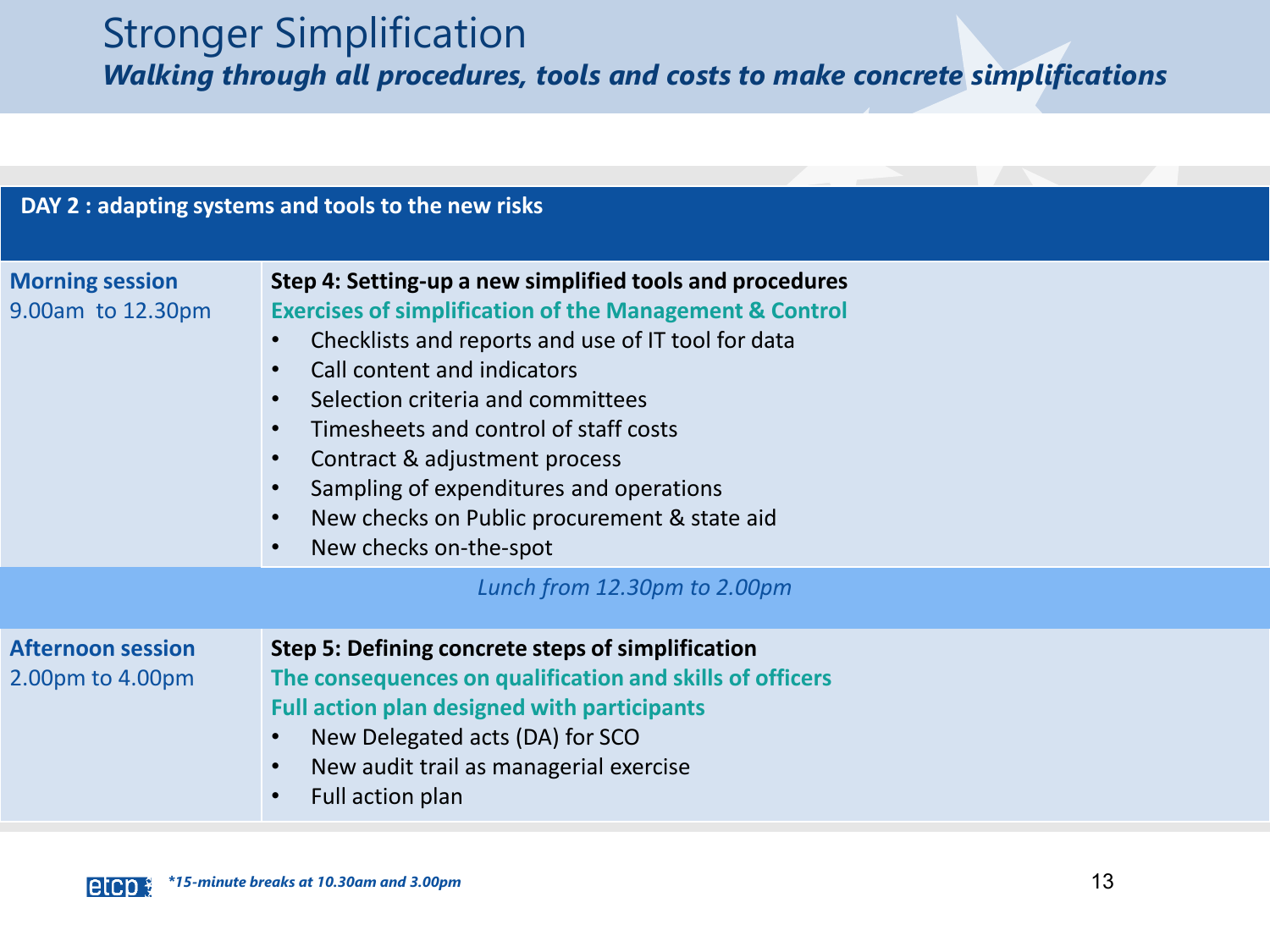*Walking through all procedures, tools and costs to make concrete simplifications*

|                                              | DAY 2 : adapting systems and tools to the new risks                                                                                                                                                                                                                                                                                                                                                                                                                                                                                   |
|----------------------------------------------|---------------------------------------------------------------------------------------------------------------------------------------------------------------------------------------------------------------------------------------------------------------------------------------------------------------------------------------------------------------------------------------------------------------------------------------------------------------------------------------------------------------------------------------|
| <b>Morning session</b><br>9.00am to 12.30pm  | Step 4: Setting-up a new simplified tools and procedures<br><b>Exercises of simplification of the Management &amp; Control</b><br>Checklists and reports and use of IT tool for data<br>$\bullet$<br>Call content and indicators<br>$\bullet$<br>Selection criteria and committees<br>$\bullet$<br>Timesheets and control of staff costs<br>Contract & adjustment process<br>$\bullet$<br>Sampling of expenditures and operations<br>$\bullet$<br>New checks on Public procurement & state aid<br>New checks on-the-spot<br>$\bullet$ |
|                                              | Lunch from 12.30pm to 2.00pm                                                                                                                                                                                                                                                                                                                                                                                                                                                                                                          |
| <b>Afternoon session</b><br>2.00pm to 4.00pm | Step 5: Defining concrete steps of simplification<br>The consequences on qualification and skills of officers<br><b>Full action plan designed with participants</b><br>New Delegated acts (DA) for SCO<br>$\bullet$<br>New audit trail as managerial exercise<br>$\bullet$<br>Full action plan<br>$\bullet$                                                                                                                                                                                                                           |

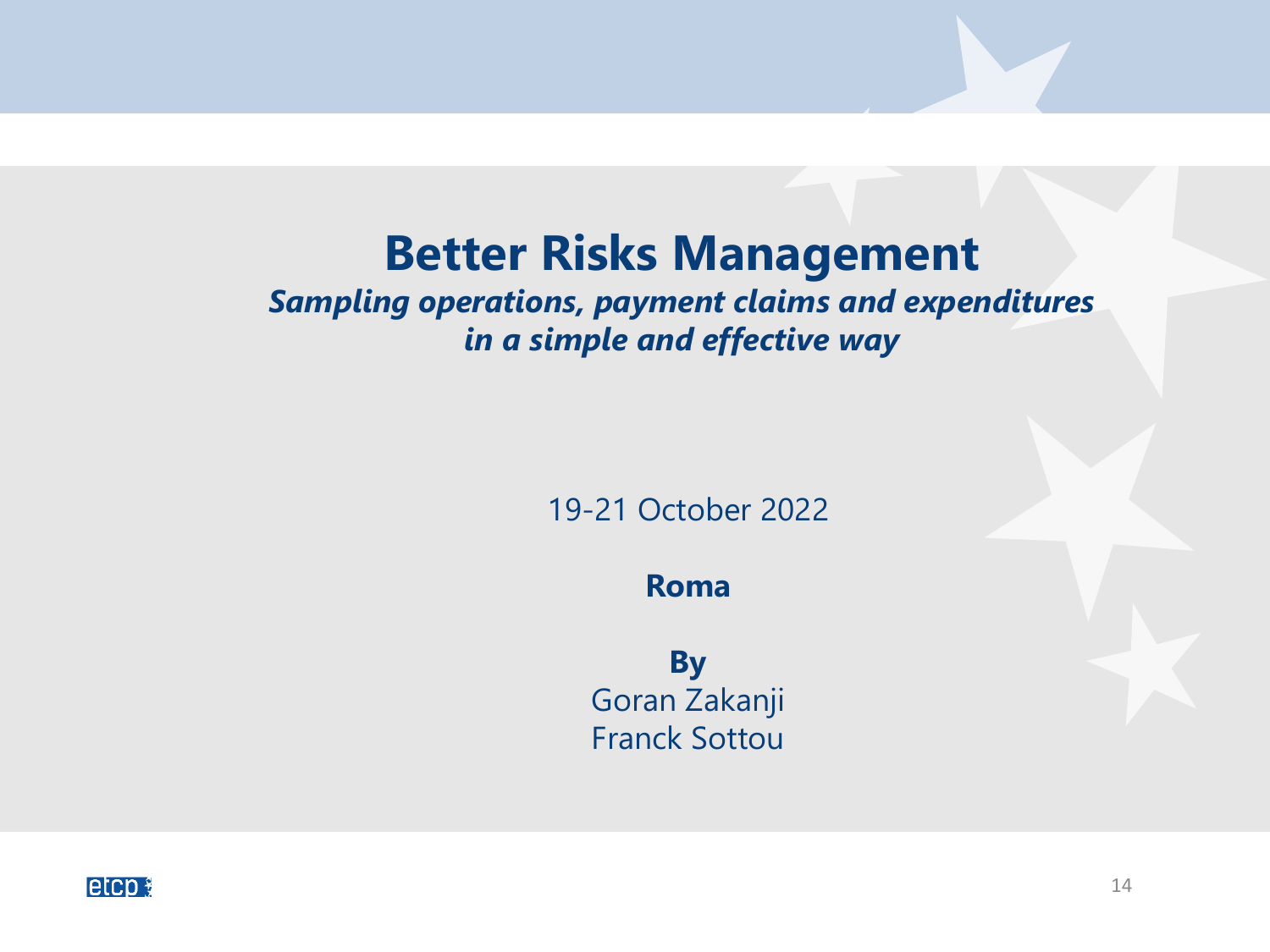## **Better Risks Management**

#### *Sampling operations, payment claims and expenditures in a simple and effective way*

19-21 October 2022

**Roma**

**By** Goran Zakanji Franck Sottou

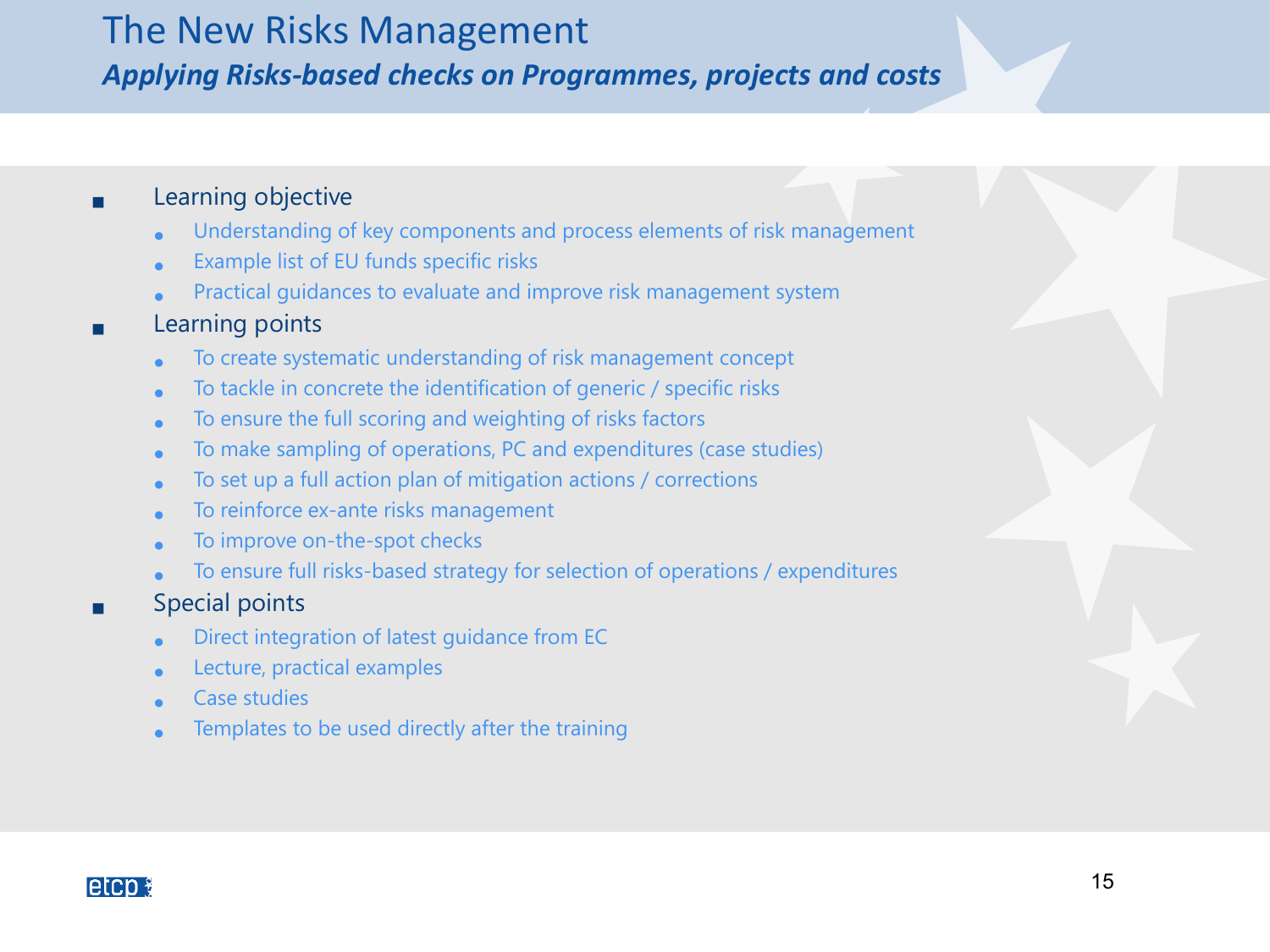### The New Risks Management

#### *Applying Risks-based checks on Programmes, projects and costs*

#### **Learning objective**

- Understanding of key components and process elements of risk management
- Example list of EU funds specific risks
- Practical guidances to evaluate and improve risk management system

#### $\blacksquare$  Learning points

- To create systematic understanding of risk management concept
- To tackle in concrete the identification of generic / specific risks
- To ensure the full scoring and weighting of risks factors
- To make sampling of operations, PC and expenditures (case studies)
- To set up <sup>a</sup> full action plan of mitigation actions / corrections
- To reinforce ex-ante risks management
- To improve on-the-spot checks
- To ensure full risks-based strategy for selection of operations / expenditures

#### **Special points**

- Direct integration of latest guidance from EC
- Lecture, practical examples
- Case studies
- Templates to be used directly after the training

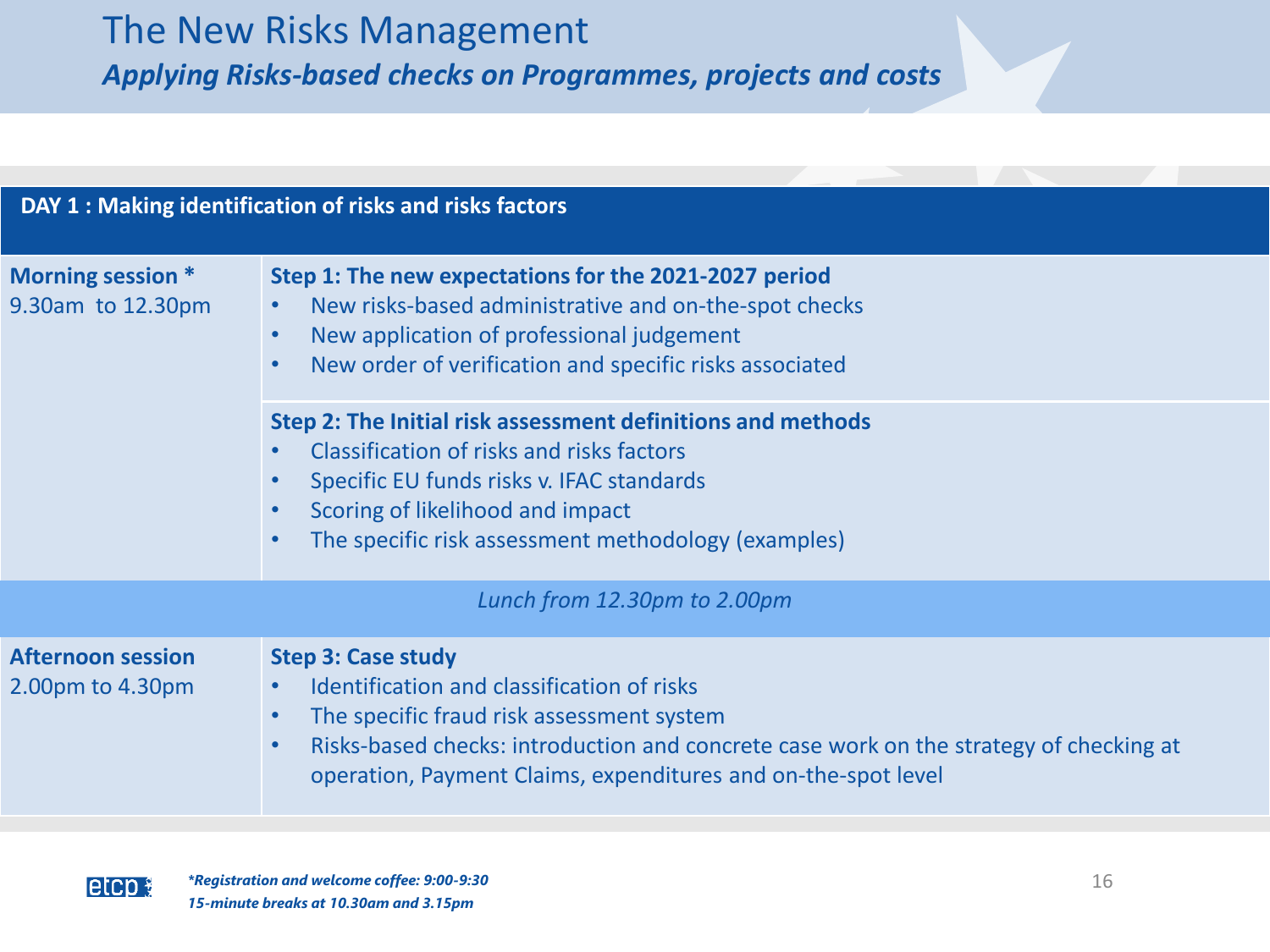### The New Risks Management *Applying Risks-based checks on Programmes, projects and costs*

|                                               | DAY 1 : Making identification of risks and risks factors                                                                                                                                                                                                                                                               |
|-----------------------------------------------|------------------------------------------------------------------------------------------------------------------------------------------------------------------------------------------------------------------------------------------------------------------------------------------------------------------------|
| <b>Morning session *</b><br>9.30am to 12.30pm | Step 1: The new expectations for the 2021-2027 period<br>New risks-based administrative and on-the-spot checks<br>$\bullet$<br>New application of professional judgement<br>$\bullet$<br>New order of verification and specific risks associated<br>$\bullet$                                                          |
|                                               | Step 2: The Initial risk assessment definitions and methods<br>Classification of risks and risks factors<br>Specific EU funds risks v. IFAC standards<br>$\bullet$<br>Scoring of likelihood and impact<br>$\bullet$<br>The specific risk assessment methodology (examples)<br>$\bullet$                                |
|                                               | Lunch from 12.30pm to 2.00pm                                                                                                                                                                                                                                                                                           |
| <b>Afternoon session</b><br>2.00pm to 4.30pm  | <b>Step 3: Case study</b><br>Identification and classification of risks<br>$\bullet$<br>The specific fraud risk assessment system<br>$\bullet$<br>Risks-based checks: introduction and concrete case work on the strategy of checking at<br>$\bullet$<br>operation, Payment Claims, expenditures and on-the-spot level |

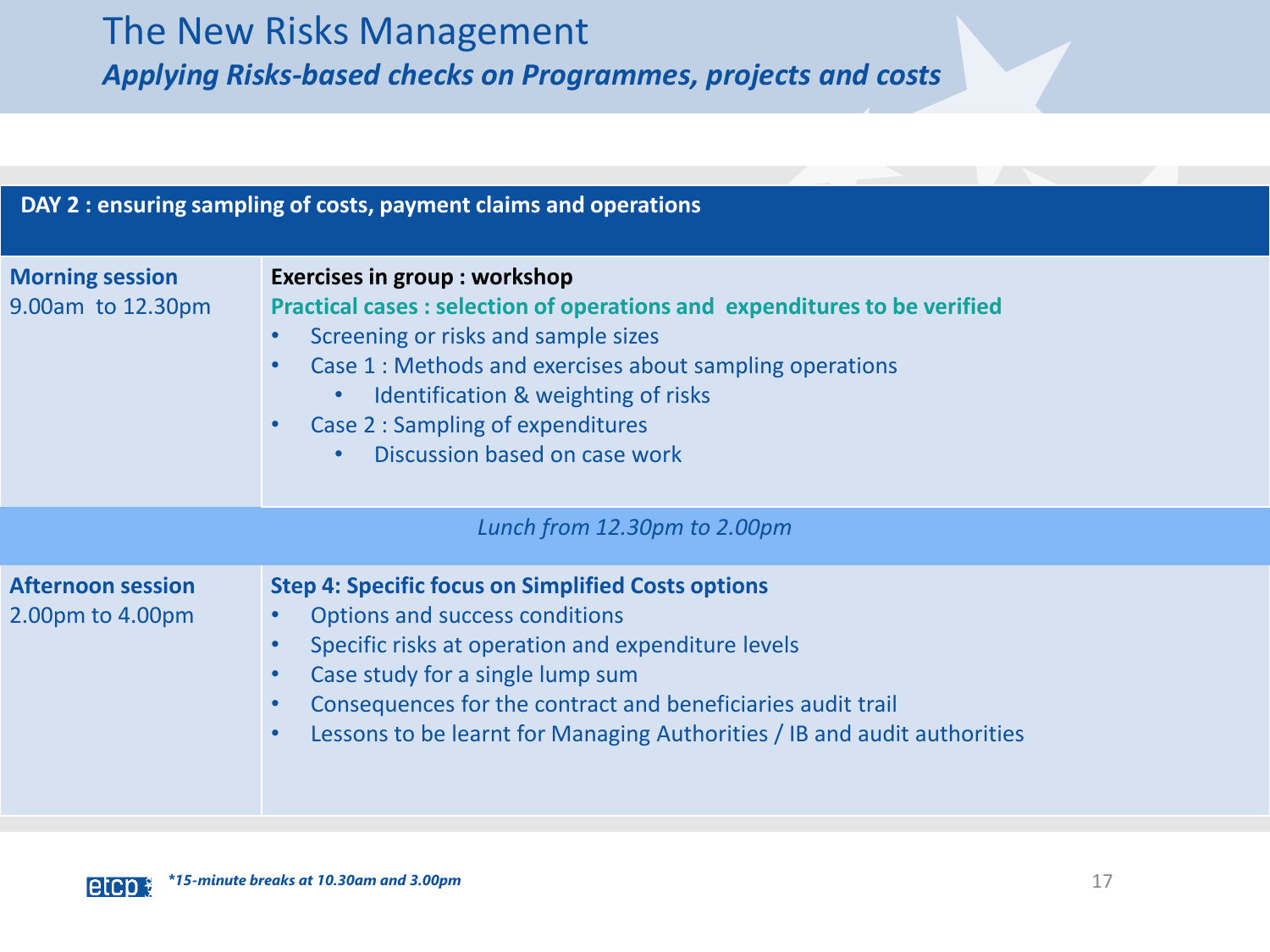### The New Risks Management *Applying Risks-based checks on Programmes, projects and costs*

|                                              | DAY 2 : ensuring sampling of costs, payment claims and operations                                                                                                                                                                                                                                                                                                                                 |
|----------------------------------------------|---------------------------------------------------------------------------------------------------------------------------------------------------------------------------------------------------------------------------------------------------------------------------------------------------------------------------------------------------------------------------------------------------|
| <b>Morning session</b><br>9.00am to 12.30pm  | Exercises in group: workshop<br>Practical cases: selection of operations and expenditures to be verified<br>Screening or risks and sample sizes<br>$\bullet$<br>Case 1 : Methods and exercises about sampling operations<br>$\bullet$<br>Identification & weighting of risks<br>Case 2 : Sampling of expenditures<br>$\bullet$<br>Discussion based on case work<br>$\bullet$                      |
|                                              | Lunch from 12.30pm to 2.00pm                                                                                                                                                                                                                                                                                                                                                                      |
| <b>Afternoon session</b><br>2.00pm to 4.00pm | <b>Step 4: Specific focus on Simplified Costs options</b><br>Options and success conditions<br>$\bullet$<br>Specific risks at operation and expenditure levels<br>$\bullet$<br>Case study for a single lump sum<br>$\bullet$<br>Consequences for the contract and beneficiaries audit trail<br>$\bullet$<br>Lessons to be learnt for Managing Authorities / IB and audit authorities<br>$\bullet$ |

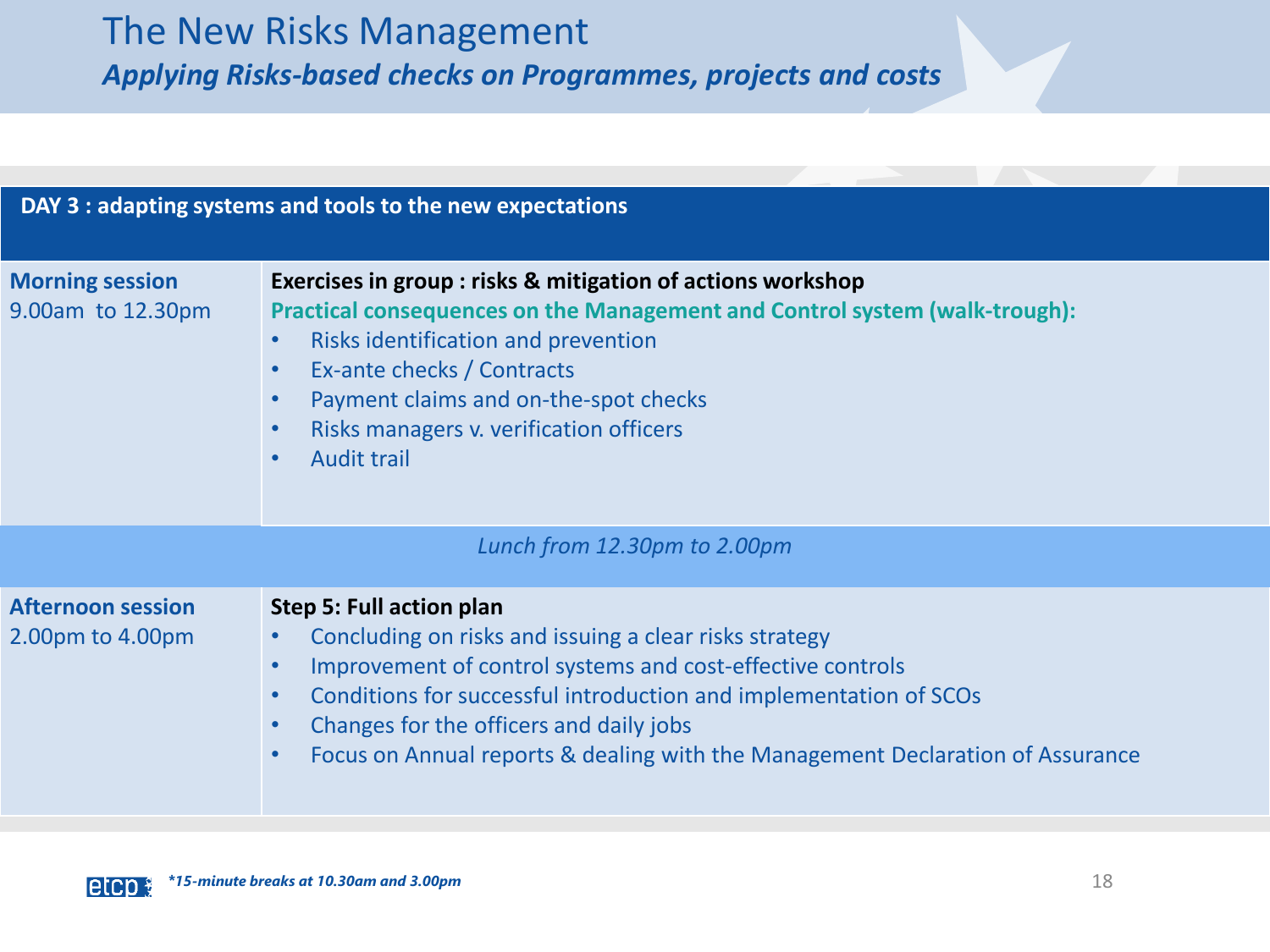## The New Risks Management

*Applying Risks-based checks on Programmes, projects and costs* 

|                                              | DAY 3 : adapting systems and tools to the new expectations                                                                                                                                                                                                                                                                                                                   |
|----------------------------------------------|------------------------------------------------------------------------------------------------------------------------------------------------------------------------------------------------------------------------------------------------------------------------------------------------------------------------------------------------------------------------------|
| <b>Morning session</b><br>9.00am to 12.30pm  | Exercises in group : risks & mitigation of actions workshop<br>Practical consequences on the Management and Control system (walk-trough):<br>Risks identification and prevention<br>$\bullet$<br>Ex-ante checks / Contracts<br>$\bullet$<br>Payment claims and on-the-spot checks<br>Risks managers v. verification officers<br><b>Audit trail</b><br>$\bullet$              |
|                                              | Lunch from 12.30pm to 2.00pm                                                                                                                                                                                                                                                                                                                                                 |
| <b>Afternoon session</b><br>2.00pm to 4.00pm | Step 5: Full action plan<br>Concluding on risks and issuing a clear risks strategy<br>Improvement of control systems and cost-effective controls<br>$\bullet$<br>Conditions for successful introduction and implementation of SCOs<br>$\bullet$<br>Changes for the officers and daily jobs<br>Focus on Annual reports & dealing with the Management Declaration of Assurance |

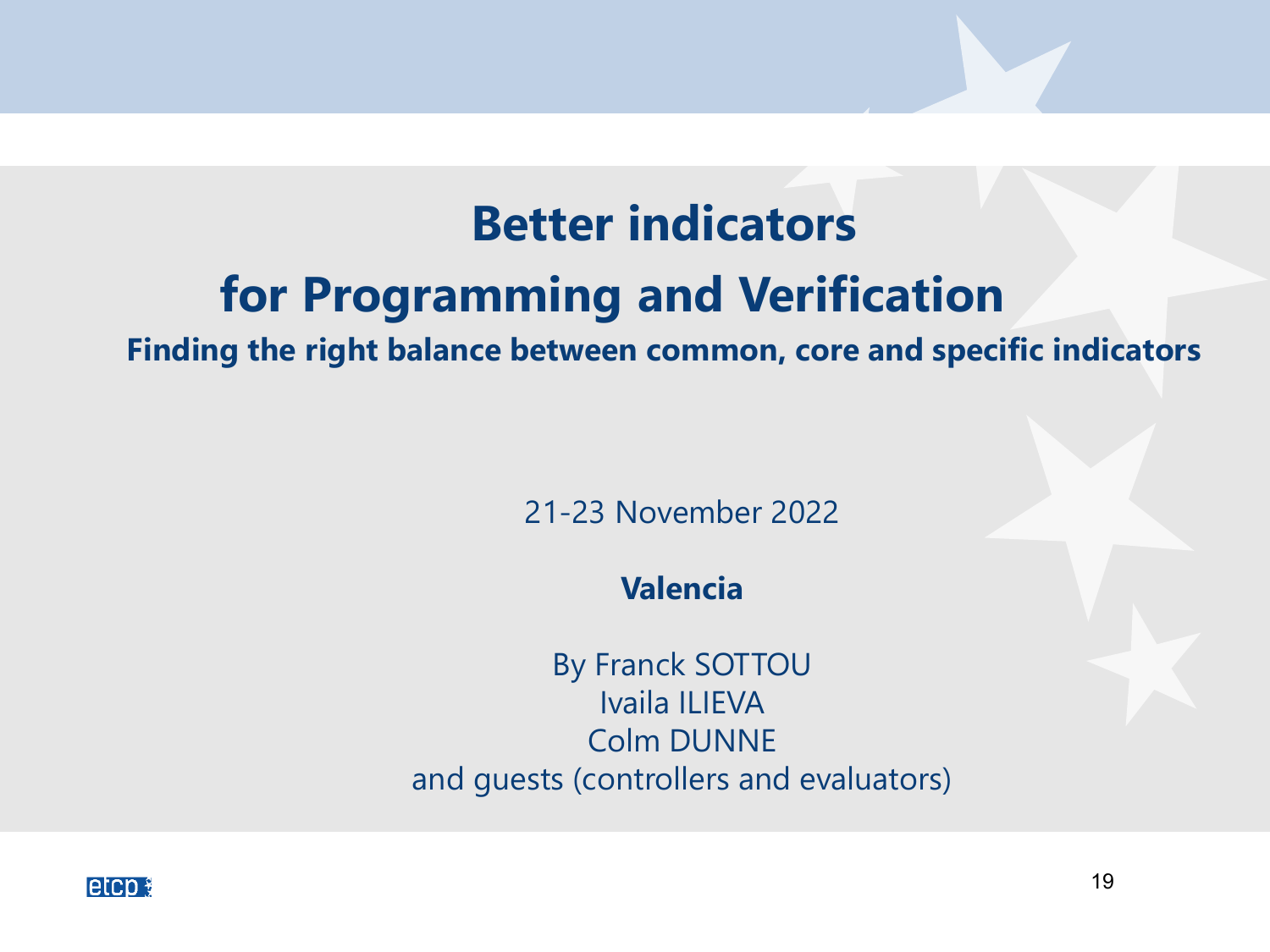# **Better indicators for Programming and Verification**

**Finding the right balance between common, core and specific indicators**

21-23 November 2022

**Valencia**

By Franck SOTTOU Ivaila ILIEVA Colm DUNNE and guests (controllers and evaluators)

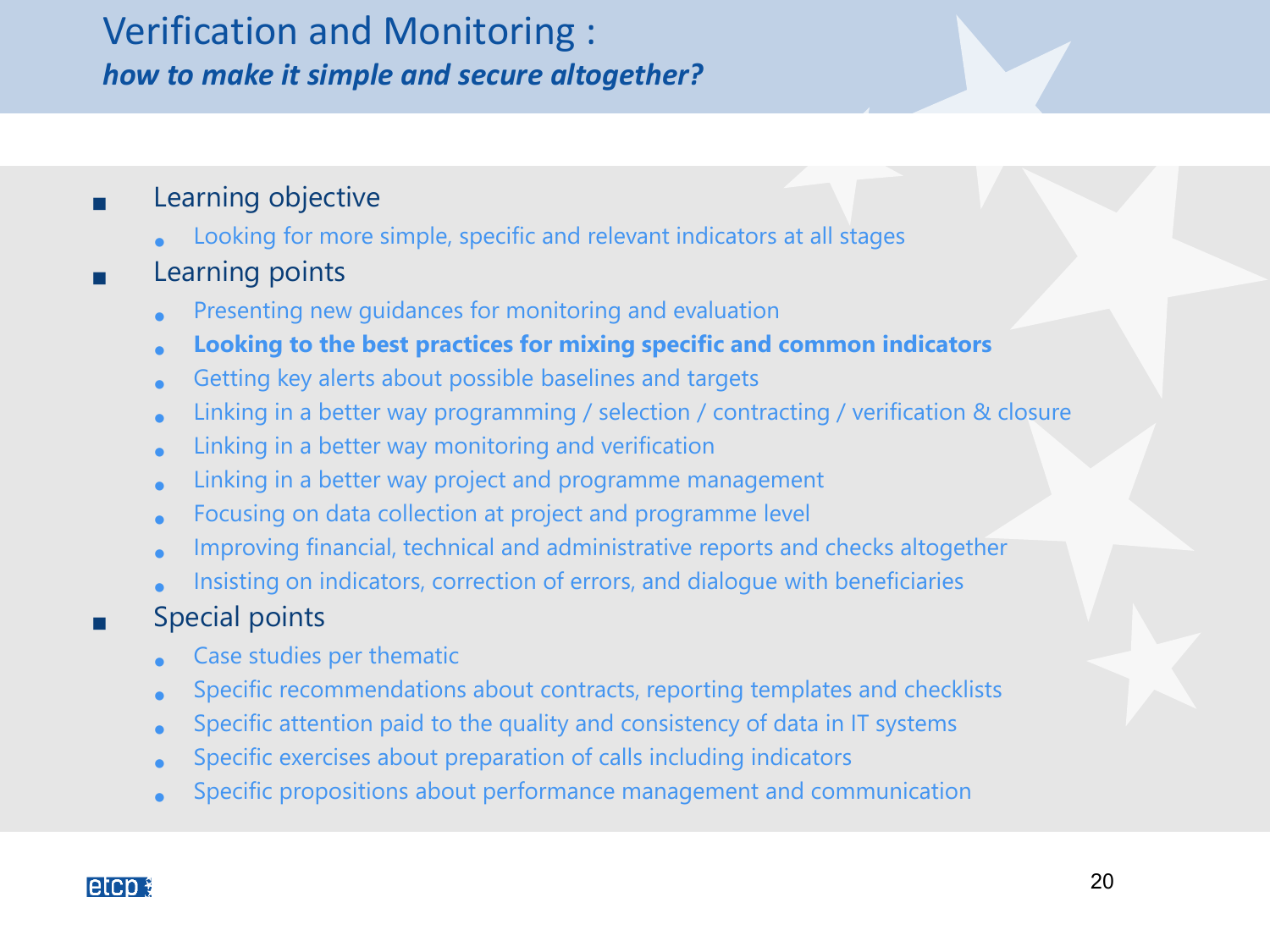### Verification and Monitoring : *how to make it simple and secure altogether?*

- **Learning objective** 
	- Looking for more simple, specific and relevant indicators at all stages
- $\blacksquare$  Learning points
	- Presenting new guidances for monitoring and evaluation
	- **Looking to the best practices for mixing specific and common indicators**
	- Getting key alerts about possible baselines and targets
	- Linking in <sup>a</sup> better way programming / selection / contracting / verification & closure
	- Linking in <sup>a</sup> better way monitoring and verification
	- Linking in <sup>a</sup> better way project and programme management
	- Focusing on data collection at project and programme level
	- Improving financial, technical and administrative reports and checks altogether
	- Insisting on indicators, correction of errors, and dialogue with beneficiaries

#### Special points

- Case studies per thematic
- Specific recommendations about contracts, reporting templates and checklists
- Specific attention paid to the quality and consistency of data in IT systems
- Specific exercises about preparation of calls including indicators
- Specific propositions about performance management and communication

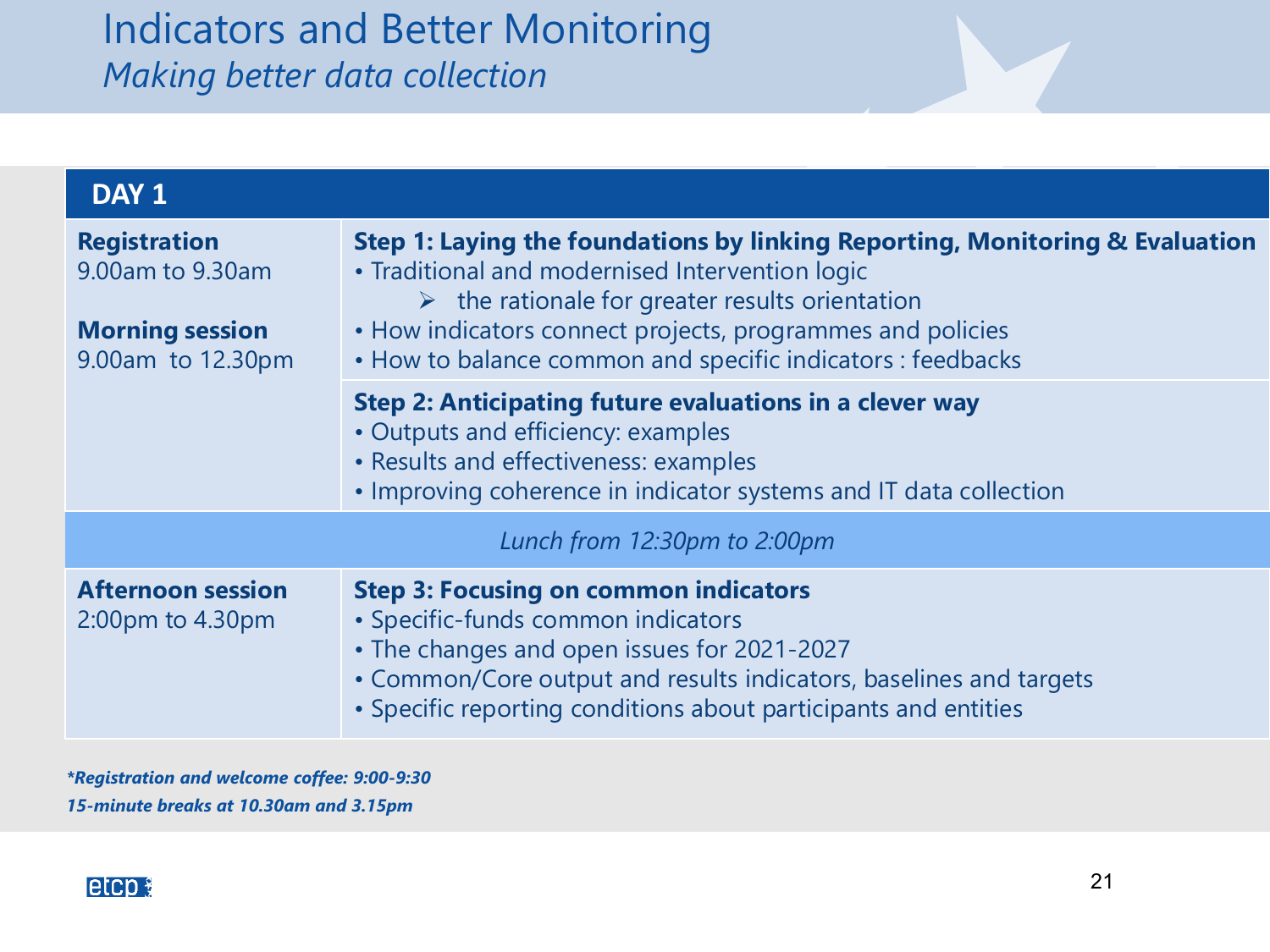### Indicators and Better Monitoring *Making better data collection*

| DAY 1                                                                                  |                                                                                                                                                                                                                                                                                                                                |
|----------------------------------------------------------------------------------------|--------------------------------------------------------------------------------------------------------------------------------------------------------------------------------------------------------------------------------------------------------------------------------------------------------------------------------|
| <b>Registration</b><br>9.00am to 9.30am<br><b>Morning session</b><br>9.00am to 12.30pm | Step 1: Laying the foundations by linking Reporting, Monitoring & Evaluation<br>• Traditional and modernised Intervention logic<br>$\triangleright$ the rationale for greater results orientation<br>• How indicators connect projects, programmes and policies<br>• How to balance common and specific indicators : feedbacks |
|                                                                                        | Step 2: Anticipating future evaluations in a clever way<br>• Outputs and efficiency: examples<br>• Results and effectiveness: examples<br>• Improving coherence in indicator systems and IT data collection                                                                                                                    |
|                                                                                        | Lunch from 12:30pm to 2:00pm                                                                                                                                                                                                                                                                                                   |
| <b>Afternoon session</b><br>$2:00$ pm to $4.30$ pm                                     | <b>Step 3: Focusing on common indicators</b><br>• Specific-funds common indicators<br>• The changes and open issues for 2021-2027<br>• Common/Core output and results indicators, baselines and targets<br>• Specific reporting conditions about participants and entities                                                     |

*\*Registration and welcome coffee: 9:00-9:30 15-minute breaks at 10.30am and 3.15pm*

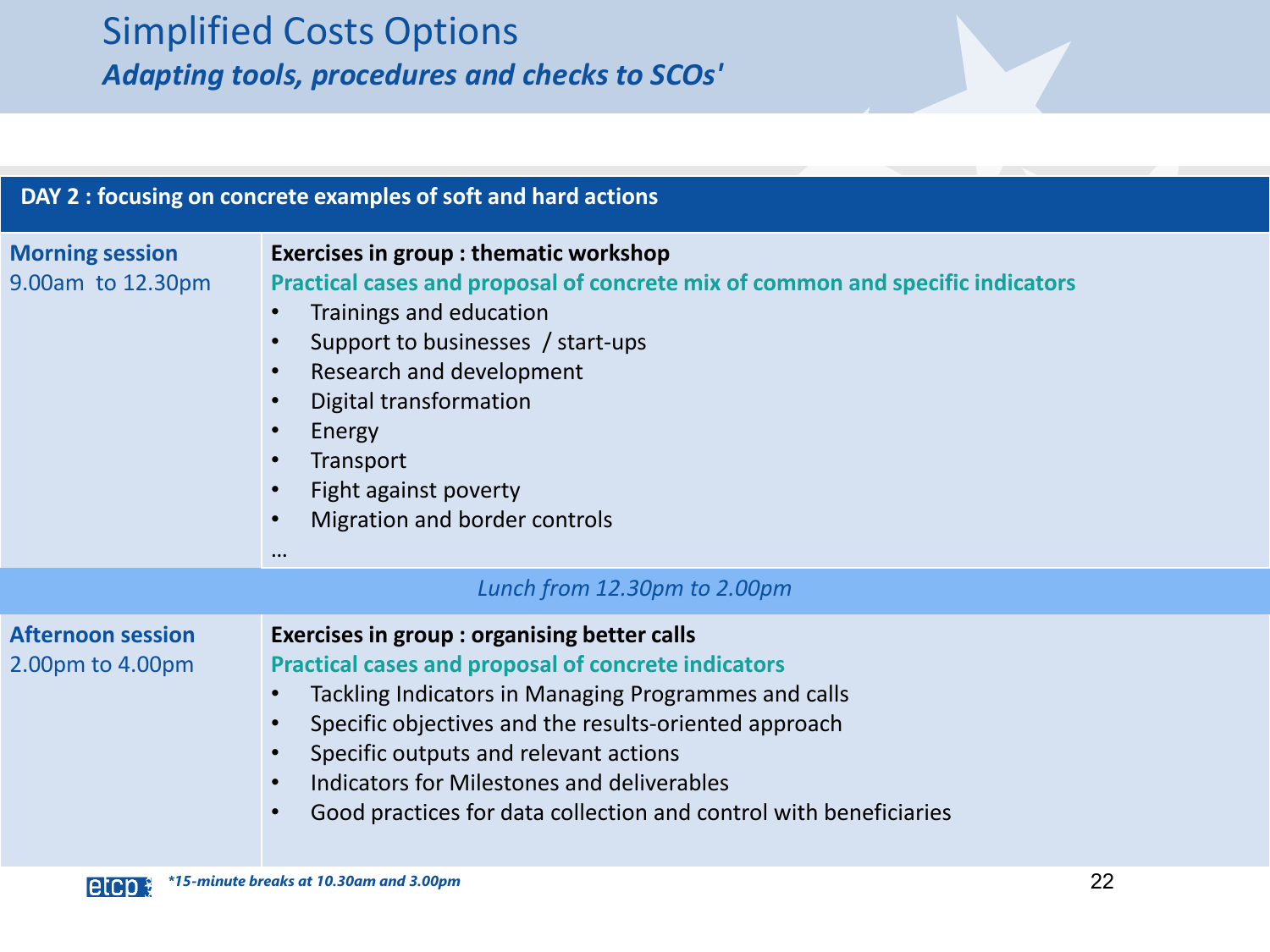|                                              | DAY 2 : focusing on concrete examples of soft and hard actions                                                                                                                                                                                                                                                                                                                                                                                          |
|----------------------------------------------|---------------------------------------------------------------------------------------------------------------------------------------------------------------------------------------------------------------------------------------------------------------------------------------------------------------------------------------------------------------------------------------------------------------------------------------------------------|
| <b>Morning session</b><br>9.00am to 12.30pm  | Exercises in group : thematic workshop<br>Practical cases and proposal of concrete mix of common and specific indicators<br>Trainings and education<br>$\bullet$<br>Support to businesses / start-ups<br>$\bullet$<br>Research and development<br>$\bullet$<br>Digital transformation<br>$\bullet$<br>Energy<br>$\bullet$<br>Transport<br>$\bullet$<br>Fight against poverty<br>$\bullet$<br>Migration and border controls<br>$\bullet$<br>$\cdots$     |
|                                              | Lunch from 12.30pm to 2.00pm                                                                                                                                                                                                                                                                                                                                                                                                                            |
| <b>Afternoon session</b><br>2.00pm to 4.00pm | Exercises in group: organising better calls<br><b>Practical cases and proposal of concrete indicators</b><br>Tackling Indicators in Managing Programmes and calls<br>$\bullet$<br>Specific objectives and the results-oriented approach<br>$\bullet$<br>Specific outputs and relevant actions<br>$\bullet$<br>Indicators for Milestones and deliverables<br>$\bullet$<br>Good practices for data collection and control with beneficiaries<br>$\bullet$ |

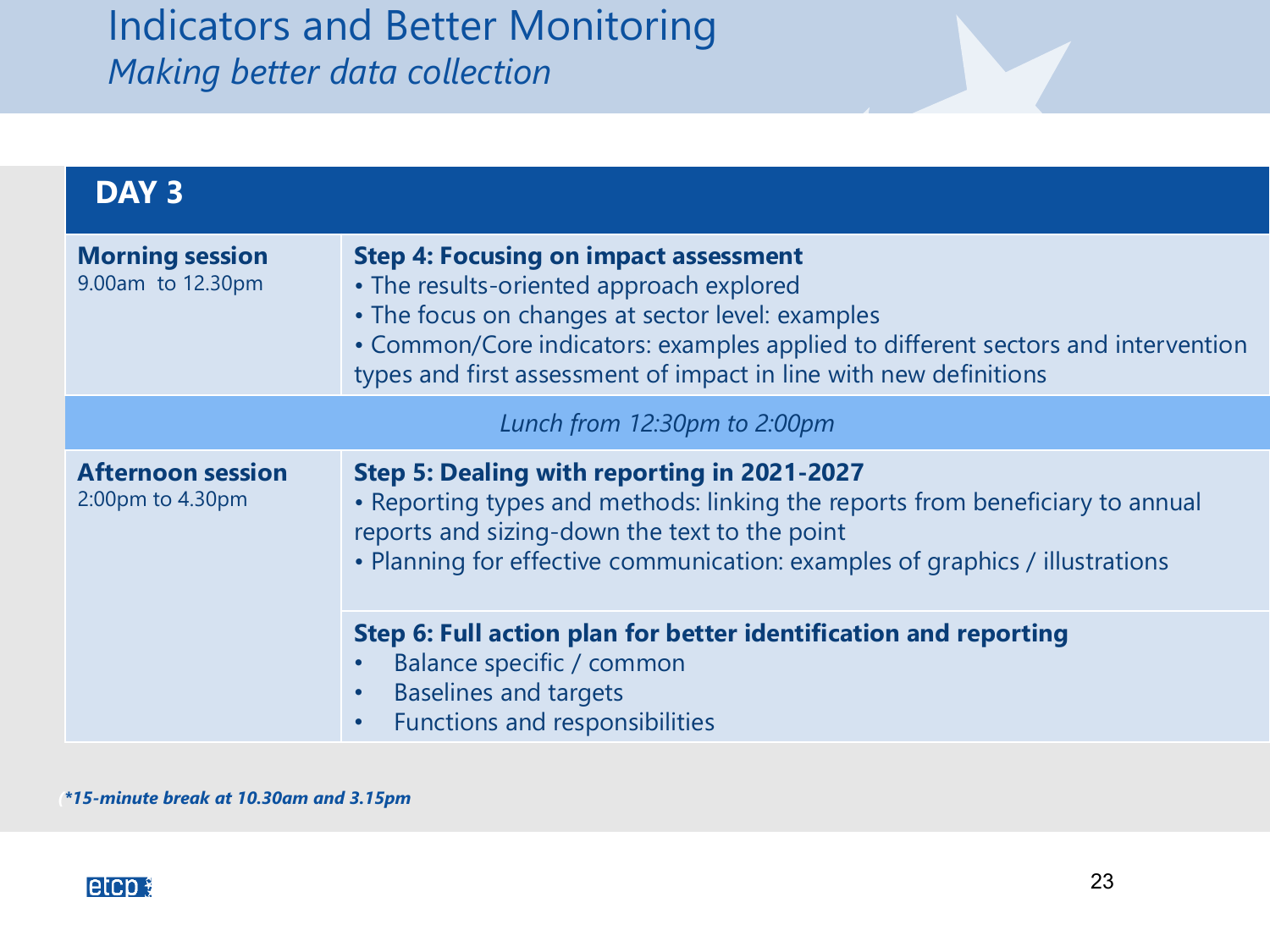### Indicators and Better Monitoring *Making better data collection*

| DAY <sub>3</sub>                             |                                                                                                                                                                                                                                                                                                       |  |
|----------------------------------------------|-------------------------------------------------------------------------------------------------------------------------------------------------------------------------------------------------------------------------------------------------------------------------------------------------------|--|
| <b>Morning session</b><br>9.00am to 12.30pm  | <b>Step 4: Focusing on impact assessment</b><br>• The results-oriented approach explored<br>• The focus on changes at sector level: examples<br>• Common/Core indicators: examples applied to different sectors and intervention<br>types and first assessment of impact in line with new definitions |  |
|                                              | Lunch from 12:30pm to 2:00pm                                                                                                                                                                                                                                                                          |  |
| <b>Afternoon session</b><br>2:00pm to 4.30pm | Step 5: Dealing with reporting in 2021-2027<br>• Reporting types and methods: linking the reports from beneficiary to annual<br>reports and sizing-down the text to the point<br>• Planning for effective communication: examples of graphics / illustrations                                         |  |
|                                              | Step 6: Full action plan for better identification and reporting<br>Balance specific / common<br><b>Baselines and targets</b><br>Functions and responsibilities<br>$\bullet$                                                                                                                          |  |

*(\*15-minute break at 10.30am and 3.15pm*

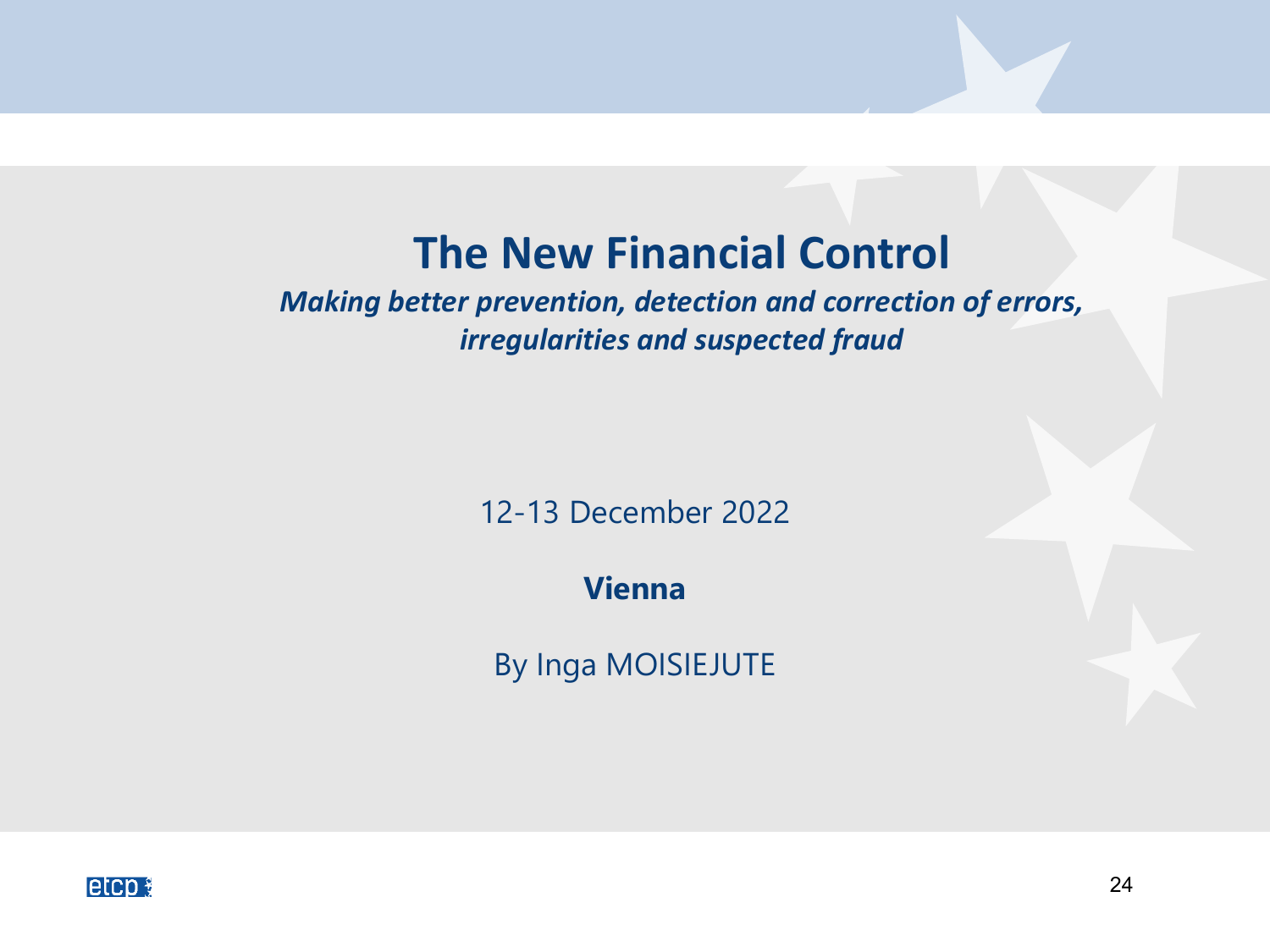*Making better prevention, detection and correction of errors, irregularities and suspected fraud*

12-13 December 2022

**Vienna**

By Inga MOISIEJUTE

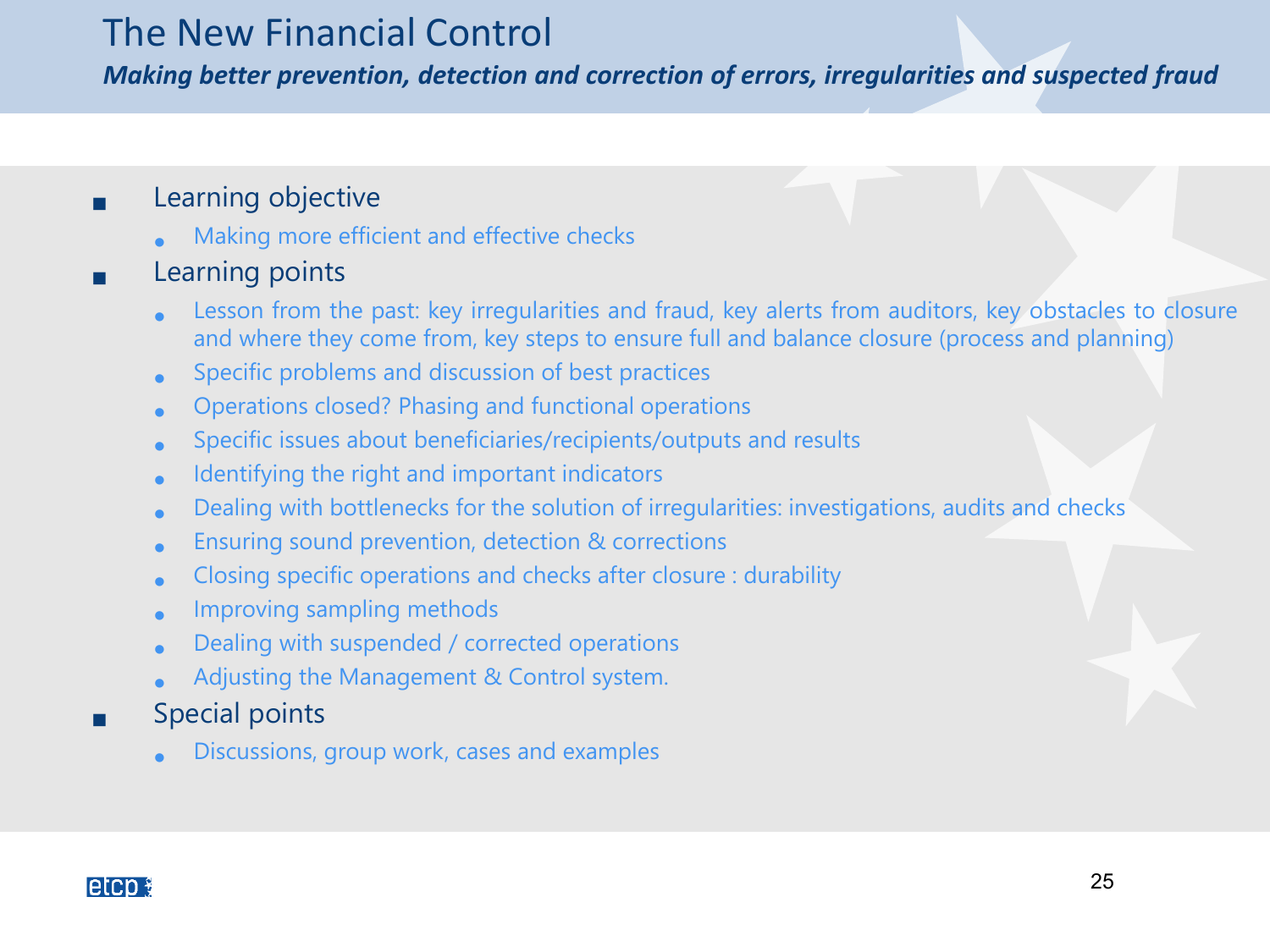*Making better prevention, detection and correction of errors, irregularities and suspected fraud*

#### **Learning objective**

- Making more efficient and effective checks
- $\blacksquare$  Learning points
	- Lesson from the past: key irregularities and fraud, key alerts from auditors, key obstacles to closure and where they come from, key steps to ensure full and balance closure (process and planning)
	- Specific problems and discussion of best practices
	- Operations closed? Phasing and functional operations
	- Specific issues about beneficiaries/recipients/outputs and results
	- Identifying the right and important indicators
	- Dealing with bottlenecks for the solution of irregularities: investigations, audits and checks
	- Ensuring sound prevention, detection & corrections
	- Closing specific operations and checks after closure : durability
	- Improving sampling methods
	- Dealing with suspended / corrected operations
	- Adjusting the Management & Control system.
- **Special points** 
	- Discussions, group work, cases and examples

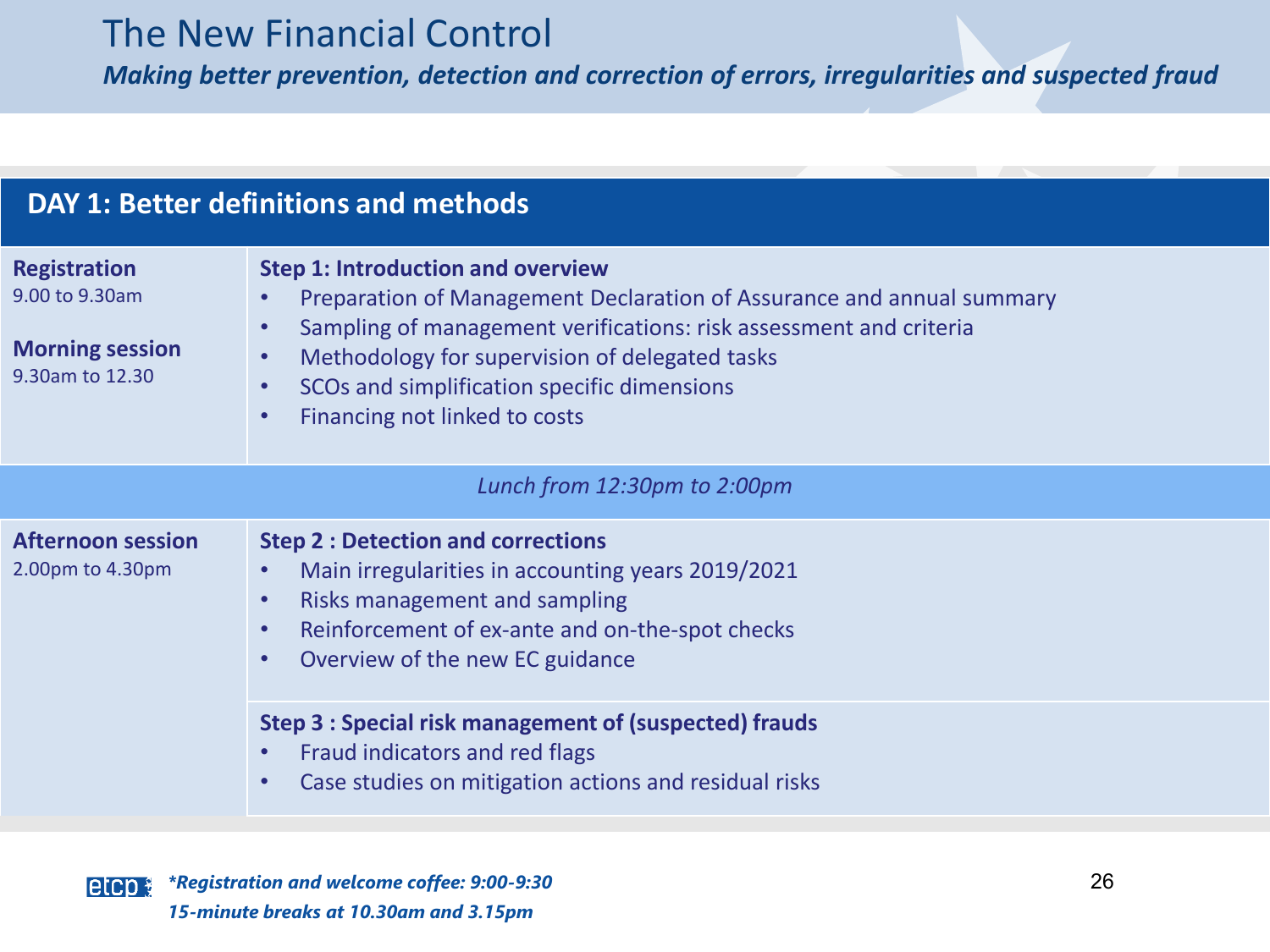*Making better prevention, detection and correction of errors, irregularities and suspected fraud*

| <b>DAY 1: Better definitions and methods</b>                                       |                                                                                                                                                                                                                                                                                                                                                                               |  |  |
|------------------------------------------------------------------------------------|-------------------------------------------------------------------------------------------------------------------------------------------------------------------------------------------------------------------------------------------------------------------------------------------------------------------------------------------------------------------------------|--|--|
| <b>Registration</b><br>9.00 to 9.30am<br><b>Morning session</b><br>9.30am to 12.30 | <b>Step 1: Introduction and overview</b><br>Preparation of Management Declaration of Assurance and annual summary<br>Sampling of management verifications: risk assessment and criteria<br>$\bullet$<br>Methodology for supervision of delegated tasks<br>$\bullet$<br>SCOs and simplification specific dimensions<br>$\bullet$<br>Financing not linked to costs<br>$\bullet$ |  |  |
| Lunch from 12:30pm to 2:00pm                                                       |                                                                                                                                                                                                                                                                                                                                                                               |  |  |
| <b>Afternoon session</b><br>2.00pm to 4.30pm                                       | <b>Step 2: Detection and corrections</b><br>Main irregularities in accounting years 2019/2021<br>Risks management and sampling<br>$\bullet$<br>Reinforcement of ex-ante and on-the-spot checks<br>$\bullet$<br>Overview of the new EC guidance<br>$\bullet$                                                                                                                   |  |  |
|                                                                                    | Step 3 : Special risk management of (suspected) frauds<br>Fraud indicators and red flags<br>Case studies on mitigation actions and residual risks                                                                                                                                                                                                                             |  |  |

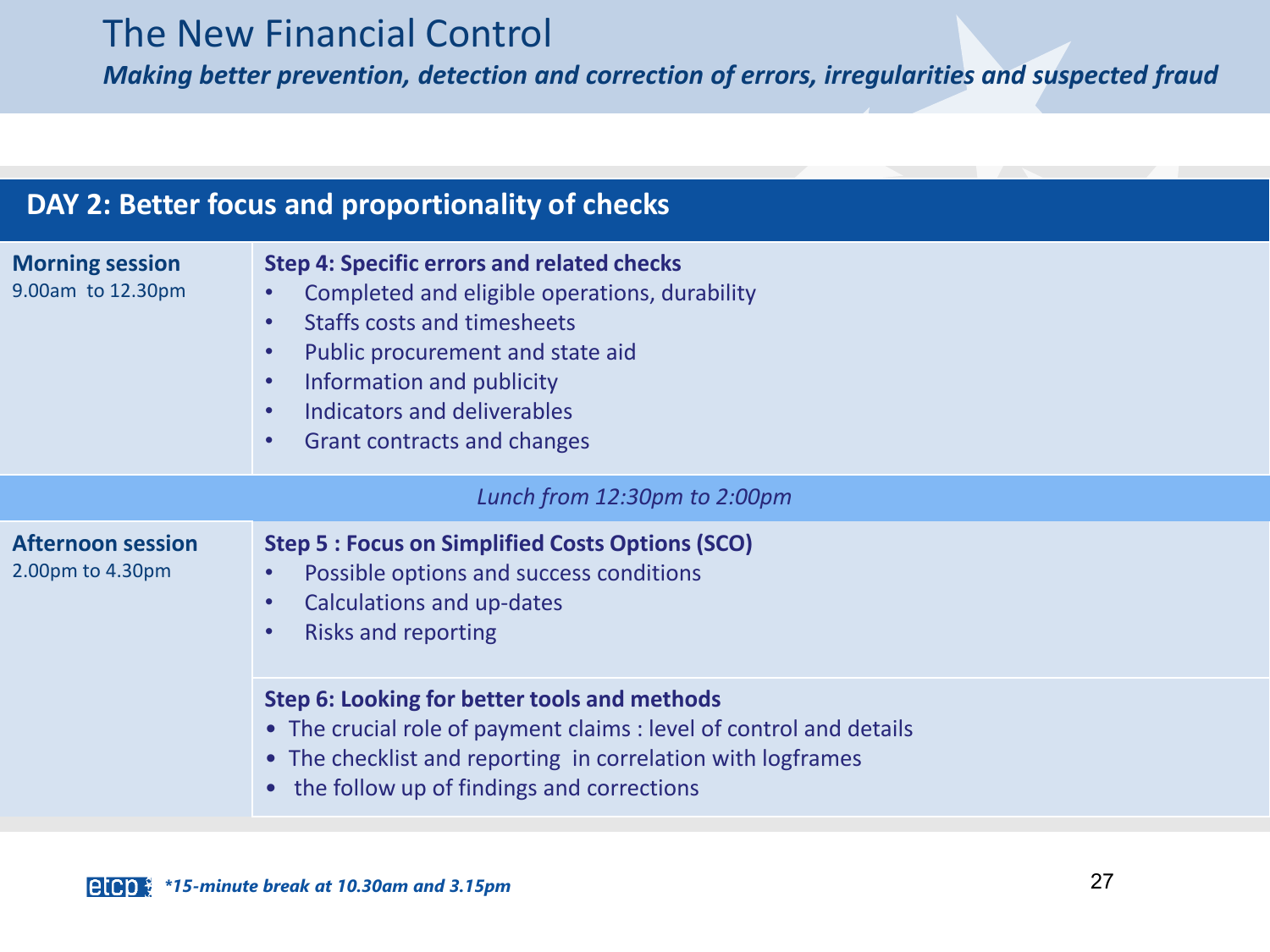*Making better prevention, detection and correction of errors, irregularities and suspected fraud*

| DAY 2: Better focus and proportionality of checks |                                                                                                                                                                                                                                                                                                                             |  |  |
|---------------------------------------------------|-----------------------------------------------------------------------------------------------------------------------------------------------------------------------------------------------------------------------------------------------------------------------------------------------------------------------------|--|--|
| <b>Morning session</b><br>9.00am to 12.30pm       | <b>Step 4: Specific errors and related checks</b><br>Completed and eligible operations, durability<br><b>Staffs costs and timesheets</b><br>$\bullet$<br>Public procurement and state aid<br>$\bullet$<br>Information and publicity<br>$\bullet$<br>Indicators and deliverables<br>$\bullet$<br>Grant contracts and changes |  |  |
| Lunch from 12:30pm to 2:00pm                      |                                                                                                                                                                                                                                                                                                                             |  |  |
| <b>Afternoon session</b><br>2.00pm to 4.30pm      | <b>Step 5: Focus on Simplified Costs Options (SCO)</b><br>Possible options and success conditions<br><b>Calculations and up-dates</b><br>$\bullet$<br><b>Risks and reporting</b><br>$\bullet$                                                                                                                               |  |  |
|                                                   | Step 6: Looking for better tools and methods<br>• The crucial role of payment claims : level of control and details<br>• The checklist and reporting in correlation with logframes<br>the follow up of findings and corrections<br>$\bullet$                                                                                |  |  |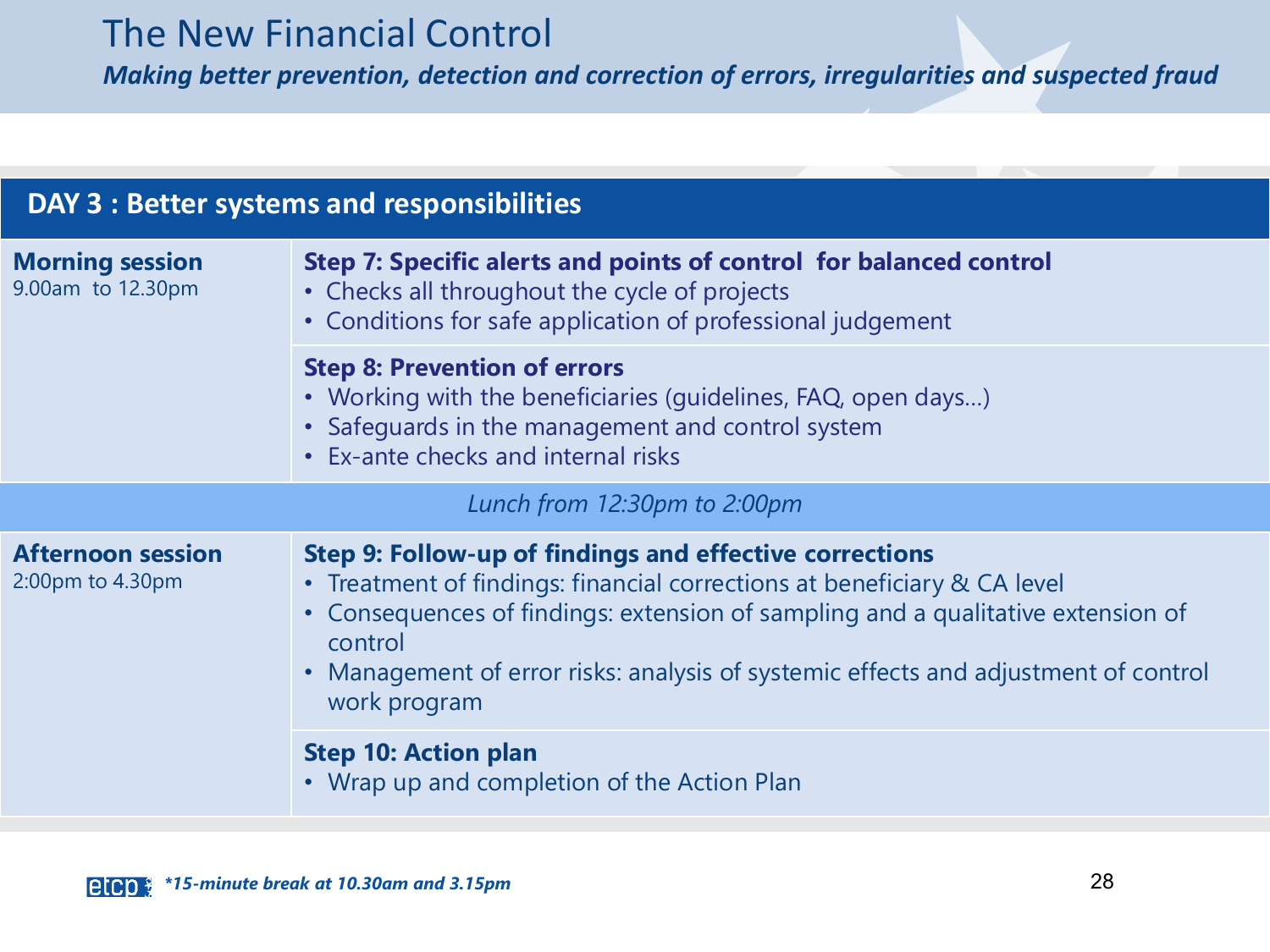*Making better prevention, detection and correction of errors, irregularities and suspected fraud*

| <b>DAY 3: Better systems and responsibilities</b>  |                                                                                                                                                                                                                                                                                                                                                                        |  |  |
|----------------------------------------------------|------------------------------------------------------------------------------------------------------------------------------------------------------------------------------------------------------------------------------------------------------------------------------------------------------------------------------------------------------------------------|--|--|
| <b>Morning session</b><br>9.00am to 12.30pm        | Step 7: Specific alerts and points of control for balanced control<br>• Checks all throughout the cycle of projects<br>• Conditions for safe application of professional judgement                                                                                                                                                                                     |  |  |
|                                                    | <b>Step 8: Prevention of errors</b><br>• Working with the beneficiaries (quidelines, FAQ, open days)<br>• Safeguards in the management and control system<br>• Ex-ante checks and internal risks                                                                                                                                                                       |  |  |
| Lunch from 12:30pm to 2:00pm                       |                                                                                                                                                                                                                                                                                                                                                                        |  |  |
| <b>Afternoon session</b><br>$2:00$ pm to $4.30$ pm | <b>Step 9: Follow-up of findings and effective corrections</b><br>• Treatment of findings: financial corrections at beneficiary & CA level<br>Consequences of findings: extension of sampling and a qualitative extension of<br>$\bullet$<br>control<br>Management of error risks: analysis of systemic effects and adjustment of control<br>$\bullet$<br>work program |  |  |
|                                                    | <b>Step 10: Action plan</b><br>• Wrap up and completion of the Action Plan                                                                                                                                                                                                                                                                                             |  |  |

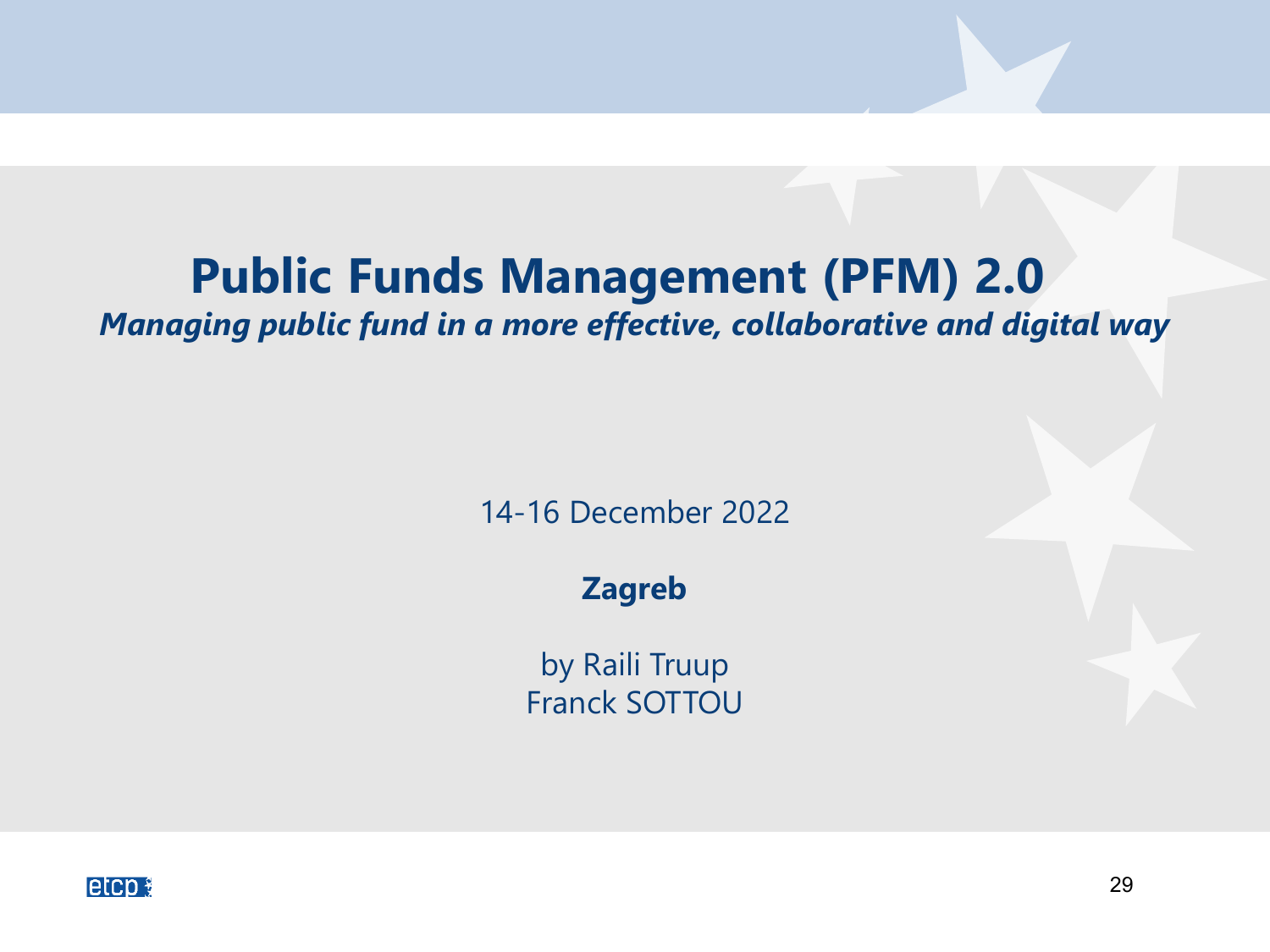## **Public Funds Management (PFM) 2.0** *Managing public fund in a more effective, collaborative and digital way*

14-16 December 2022

**Zagreb**

by Raili Truup Franck SOTTOU

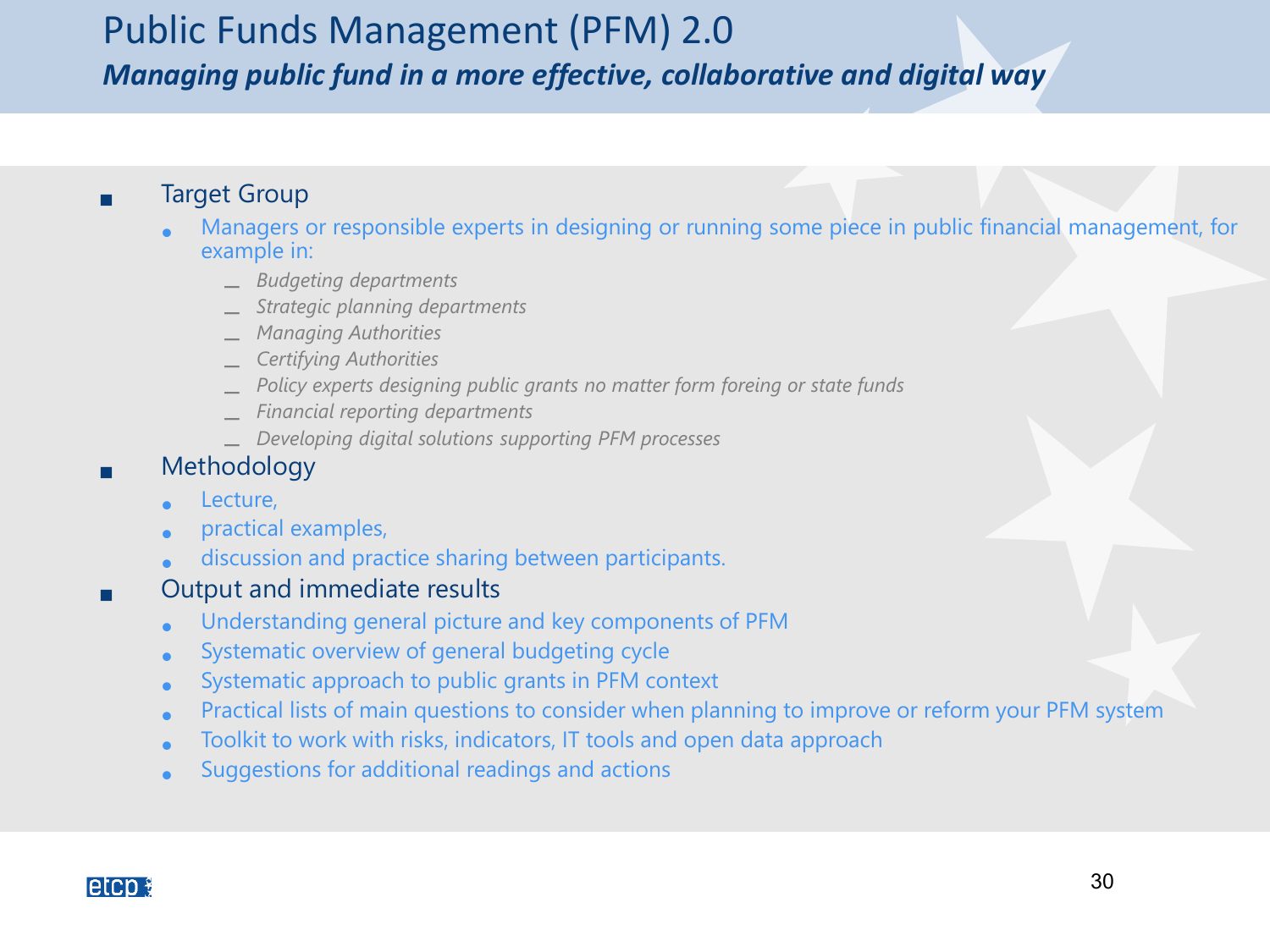*Managing public fund in a more effective, collaborative and digital way* 

#### **Target Group**

- Managers or responsible experts in designing or running some piece in public financial management, for example in:
	- *Budgeting departments*
	- *Strategic planning departments*
	- *Managing Authorities*
	- *Certifying Authorities*
	- *Policy experts designing public grants no matter form foreing or state funds*
	- *Financial reporting departments*
	- *Developing digital solutions supporting PFM processes*

#### Methodology

- Lecture,
- practical examples,
- discussion and practice sharing between participants.
- **Output and immediate results** 
	- Understanding general picture and key components of PFM
	- Systematic overview of general budgeting cycle<br>• Systematic approach to public grants in PFM com
	- Systematic approach to public grants in PFM context
	- Practical lists of main questions to consider when planning to improve or reform your PFM system
	- Toolkit to work with risks, indicators, IT tools and open data approach
	- Suggestions for additional readings and actions

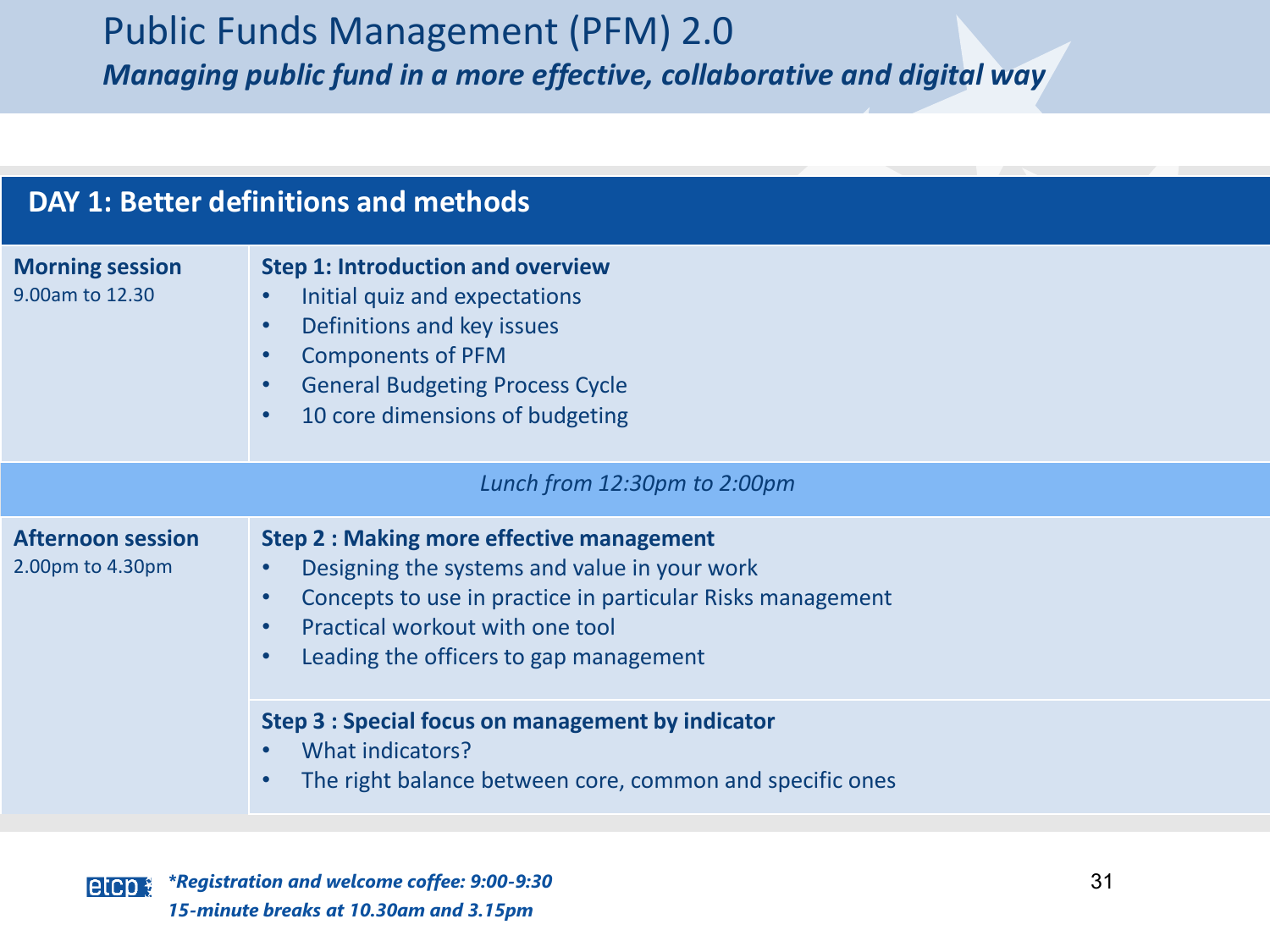*Managing public fund in a more effective, collaborative and digital way* 

| <b>DAY 1: Better definitions and methods</b> |                                                                                                                                                                                                                                                                                   |  |  |
|----------------------------------------------|-----------------------------------------------------------------------------------------------------------------------------------------------------------------------------------------------------------------------------------------------------------------------------------|--|--|
| <b>Morning session</b><br>9.00am to 12.30    | <b>Step 1: Introduction and overview</b><br>Initial quiz and expectations<br>Definitions and key issues<br>$\bullet$<br><b>Components of PFM</b><br>$\bullet$<br><b>General Budgeting Process Cycle</b><br>$\bullet$<br>10 core dimensions of budgeting                           |  |  |
| Lunch from 12:30pm to 2:00pm                 |                                                                                                                                                                                                                                                                                   |  |  |
| <b>Afternoon session</b><br>2.00pm to 4.30pm | <b>Step 2: Making more effective management</b><br>Designing the systems and value in your work<br>Concepts to use in practice in particular Risks management<br>$\bullet$<br>Practical workout with one tool<br>$\bullet$<br>Leading the officers to gap management<br>$\bullet$ |  |  |
|                                              | Step 3 : Special focus on management by indicator<br>What indicators?<br>$\bullet$<br>The right balance between core, common and specific ones<br>$\bullet$                                                                                                                       |  |  |

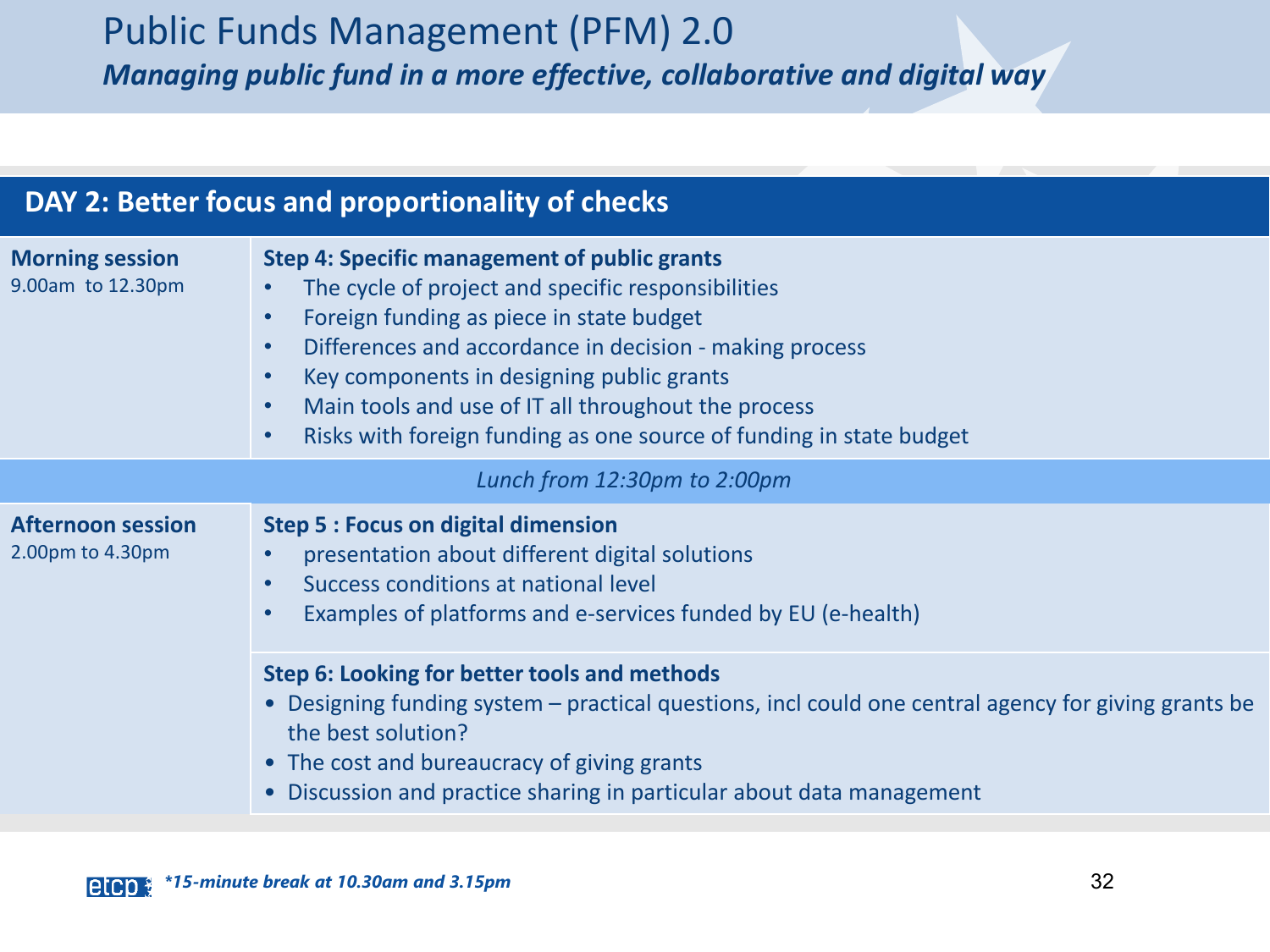*Managing public fund in a more effective, collaborative and digital way* 

| DAY 2: Better focus and proportionality of checks |                                                                                                                                                                                                                                                                                                                                                                                                                                                                           |  |
|---------------------------------------------------|---------------------------------------------------------------------------------------------------------------------------------------------------------------------------------------------------------------------------------------------------------------------------------------------------------------------------------------------------------------------------------------------------------------------------------------------------------------------------|--|
| <b>Morning session</b><br>9.00am to 12.30pm       | <b>Step 4: Specific management of public grants</b><br>The cycle of project and specific responsibilities<br>$\bullet$<br>Foreign funding as piece in state budget<br>$\bullet$<br>Differences and accordance in decision - making process<br>$\bullet$<br>Key components in designing public grants<br>$\bullet$<br>Main tools and use of IT all throughout the process<br>$\bullet$<br>Risks with foreign funding as one source of funding in state budget<br>$\bullet$ |  |
|                                                   | Lunch from 12:30pm to 2:00pm                                                                                                                                                                                                                                                                                                                                                                                                                                              |  |
| <b>Afternoon session</b><br>2.00pm to 4.30pm      | <b>Step 5: Focus on digital dimension</b><br>presentation about different digital solutions<br>Success conditions at national level<br>$\bullet$<br>Examples of platforms and e-services funded by EU (e-health)<br>$\bullet$                                                                                                                                                                                                                                             |  |
|                                                   | Step 6: Looking for better tools and methods<br>• Designing funding system – practical questions, incl could one central agency for giving grants be<br>the best solution?<br>• The cost and bureaucracy of giving grants<br>• Discussion and practice sharing in particular about data management                                                                                                                                                                        |  |

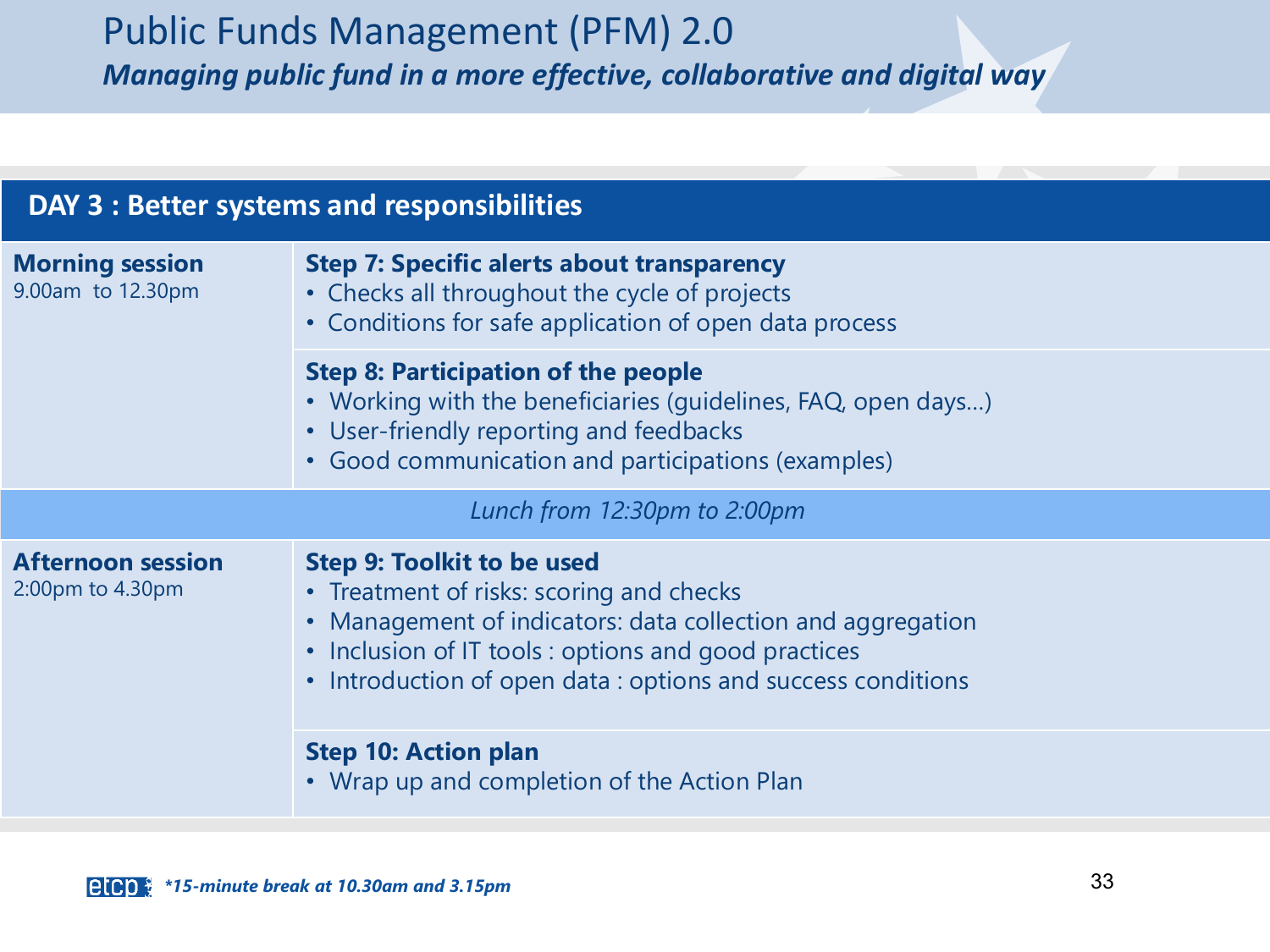*Managing public fund in a more effective, collaborative and digital way* 

| <b>DAY 3: Better systems and responsibilities</b> |                                                                                                                                                                                                                                                                   |  |
|---------------------------------------------------|-------------------------------------------------------------------------------------------------------------------------------------------------------------------------------------------------------------------------------------------------------------------|--|
| <b>Morning session</b><br>9.00am to 12.30pm       | <b>Step 7: Specific alerts about transparency</b><br>• Checks all throughout the cycle of projects<br>• Conditions for safe application of open data process                                                                                                      |  |
|                                                   | <b>Step 8: Participation of the people</b><br>• Working with the beneficiaries (quidelines, FAQ, open days)<br>• User-friendly reporting and feedbacks<br>• Good communication and participations (examples)                                                      |  |
|                                                   | Lunch from 12:30pm to 2:00pm                                                                                                                                                                                                                                      |  |
| <b>Afternoon session</b><br>2:00pm to 4.30pm      | <b>Step 9: Toolkit to be used</b><br>• Treatment of risks: scoring and checks<br>• Management of indicators: data collection and aggregation<br>• Inclusion of IT tools : options and good practices<br>Introduction of open data: options and success conditions |  |
|                                                   | <b>Step 10: Action plan</b><br>• Wrap up and completion of the Action Plan                                                                                                                                                                                        |  |

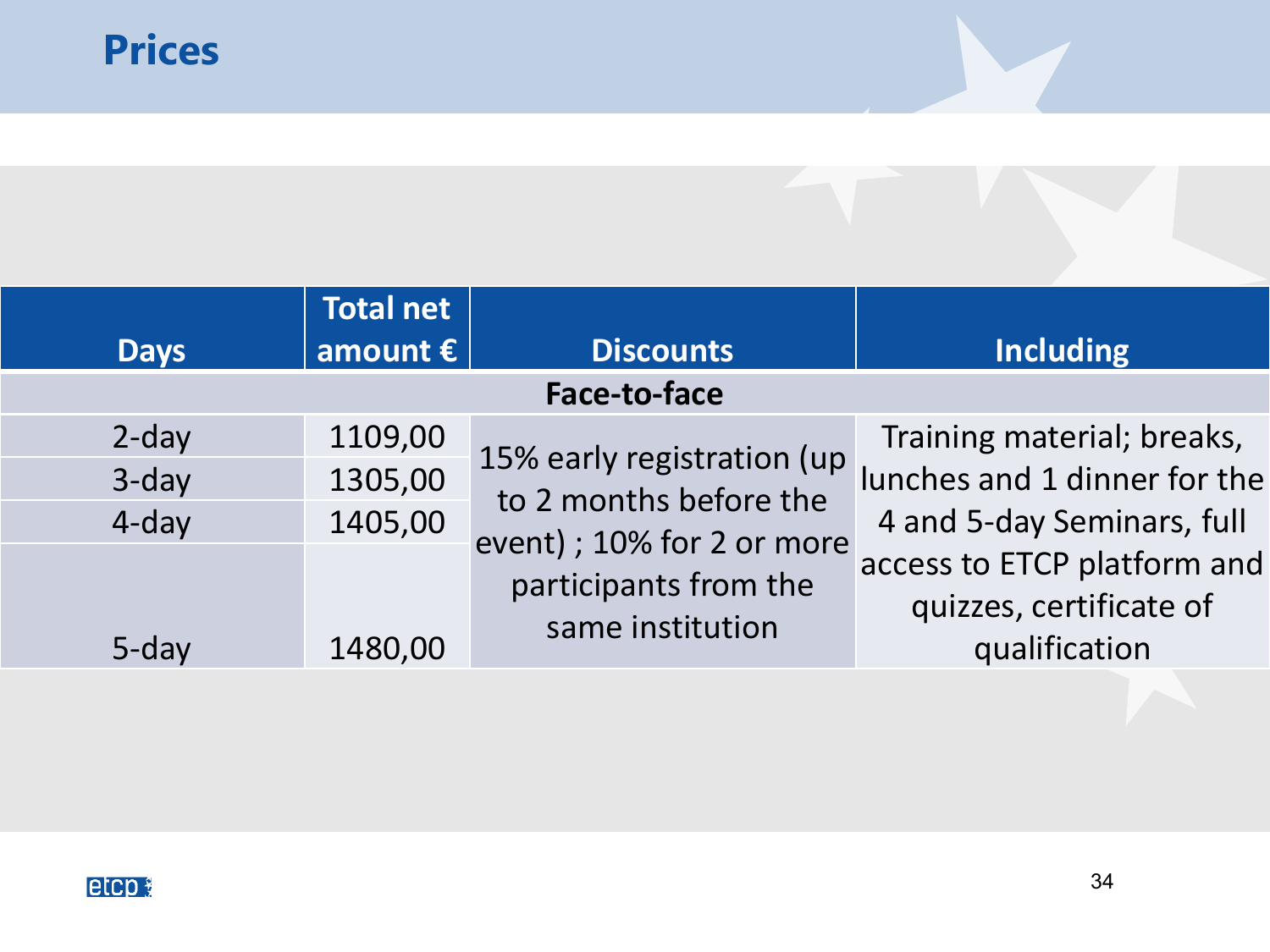|                     | <b>Total net</b>  |                                                      |                              |  |  |
|---------------------|-------------------|------------------------------------------------------|------------------------------|--|--|
| <b>Days</b>         | amount $\epsilon$ | <b>Discounts</b>                                     | <b>Including</b>             |  |  |
| <b>Face-to-face</b> |                   |                                                      |                              |  |  |
| $2$ -day            | 1109,00           |                                                      | Training material; breaks,   |  |  |
| 3-day               | 1305,00           | 15% early registration (up<br>to 2 months before the | lunches and 1 dinner for the |  |  |
| 4-day               | 1405,00           | event) ; 10% for 2 or more                           | 4 and 5-day Seminars, full   |  |  |
|                     |                   | participants from the                                | access to ETCP platform and  |  |  |
|                     |                   | same institution                                     | quizzes, certificate of      |  |  |
| $5$ -day            | 1480,00           |                                                      | qualification                |  |  |